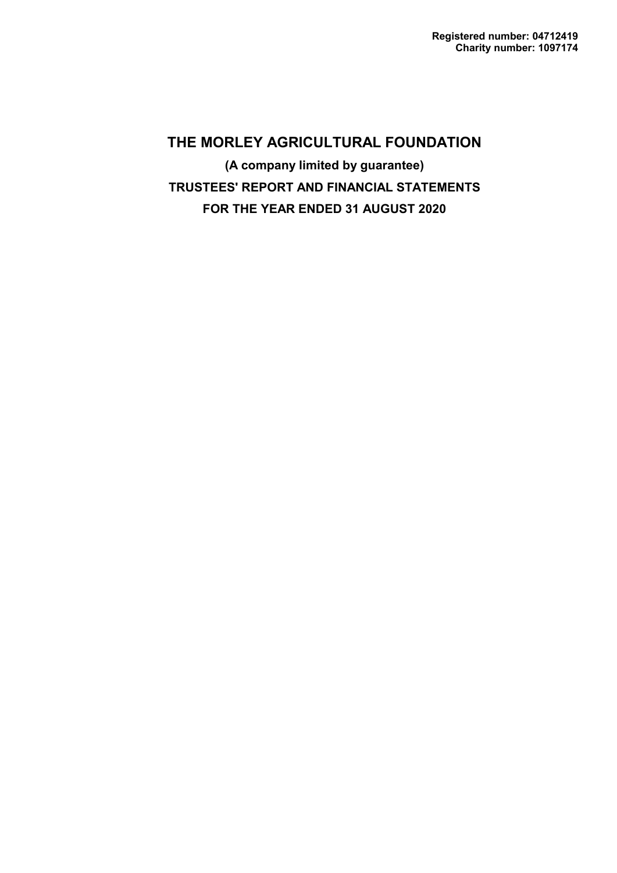**(A company limited by guarantee) TRUSTEES' REPORT AND FINANCIAL STATEMENTS FOR THE YEAR ENDED 31 AUGUST 2020**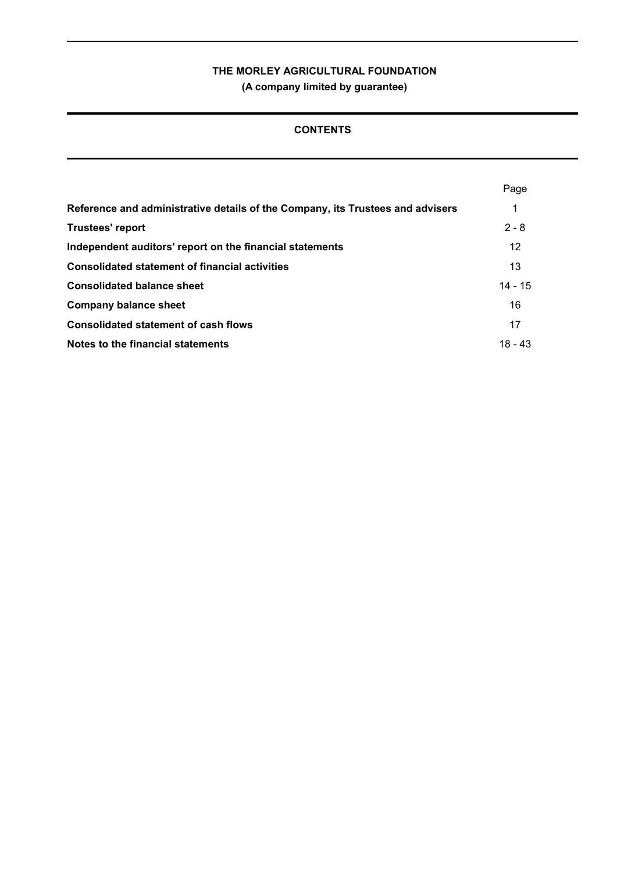**(A company limited by guarantee)**

# **CONTENTS**

|                                                                                | Page      |
|--------------------------------------------------------------------------------|-----------|
| Reference and administrative details of the Company, its Trustees and advisers | 1         |
| <b>Trustees' report</b>                                                        | $2 - 8$   |
| Independent auditors' report on the financial statements                       | 12        |
| <b>Consolidated statement of financial activities</b>                          | 13        |
| <b>Consolidated balance sheet</b>                                              | $14 - 15$ |
| <b>Company balance sheet</b>                                                   | 16        |
| <b>Consolidated statement of cash flows</b>                                    | 17        |
| Notes to the financial statements                                              | $18 - 43$ |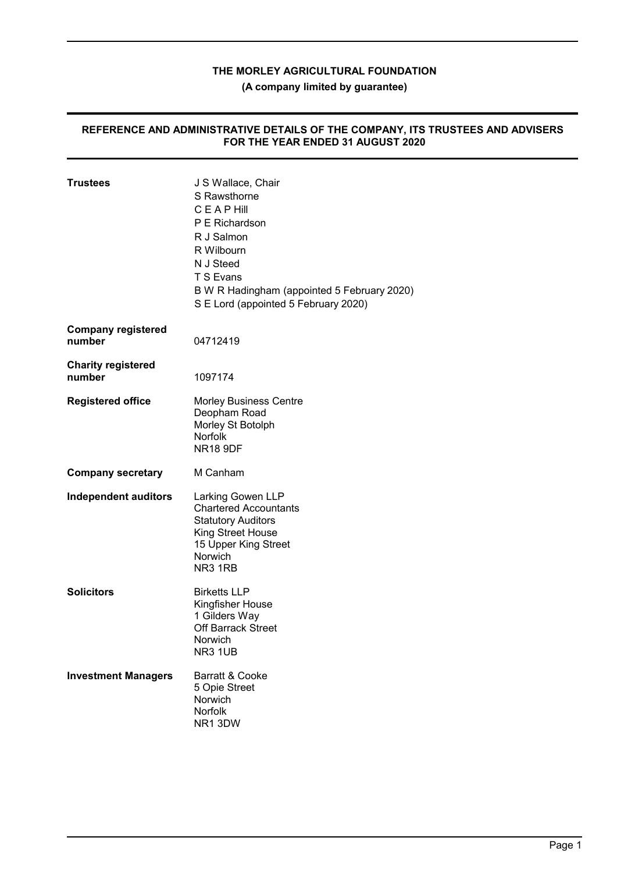**(A company limited by guarantee)**

#### **REFERENCE AND ADMINISTRATIVE DETAILS OF THE COMPANY, ITS TRUSTEES AND ADVISERS FOR THE YEAR ENDED 31 AUGUST 2020**

| <b>Trustees</b>                     | J S Wallace, Chair<br>S Rawsthorne<br><b>CEAPHill</b><br>P E Richardson<br>R J Salmon<br>R Wilbourn<br>N J Steed<br>T S Evans<br>B W R Hadingham (appointed 5 February 2020)<br>S E Lord (appointed 5 February 2020) |
|-------------------------------------|----------------------------------------------------------------------------------------------------------------------------------------------------------------------------------------------------------------------|
| <b>Company registered</b><br>number | 04712419                                                                                                                                                                                                             |
| <b>Charity registered</b><br>number | 1097174                                                                                                                                                                                                              |
| <b>Registered office</b>            | <b>Morley Business Centre</b><br>Deopham Road<br>Morley St Botolph<br><b>Norfolk</b><br><b>NR18 9DF</b>                                                                                                              |
| <b>Company secretary</b>            | M Canham                                                                                                                                                                                                             |
| <b>Independent auditors</b>         | Larking Gowen LLP<br><b>Chartered Accountants</b><br><b>Statutory Auditors</b><br>King Street House<br>15 Upper King Street<br>Norwich<br>NR <sub>3</sub> 1R <sub>B</sub>                                            |
| <b>Solicitors</b>                   | <b>Birketts LLP</b><br>Kingfisher House<br>1 Gilders Way<br><b>Off Barrack Street</b><br>Norwich<br>NR3 1UB                                                                                                          |
| <b>Investment Managers</b>          | Barratt & Cooke<br>5 Opie Street<br>Norwich<br>Norfolk<br>NR1 3DW                                                                                                                                                    |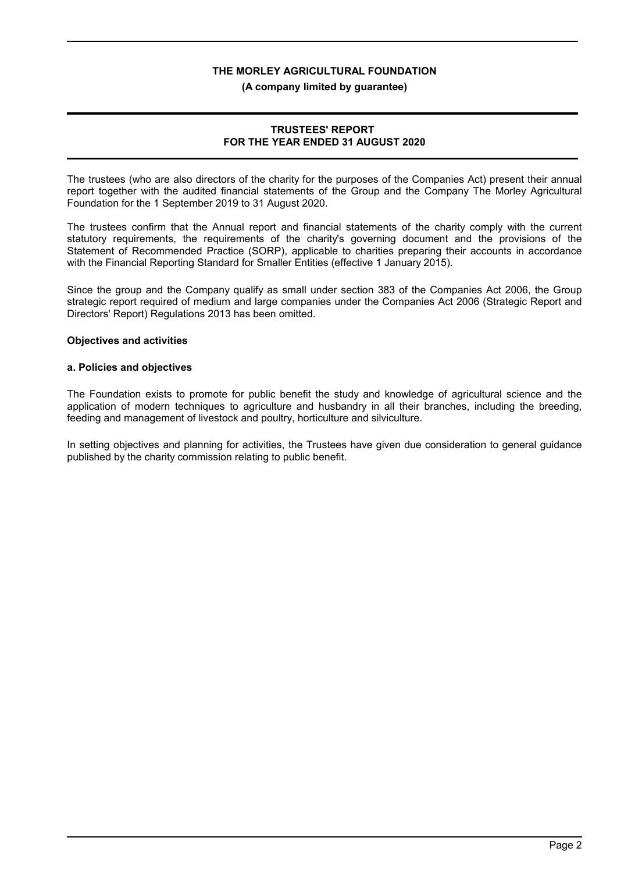#### **(A company limited by guarantee)**

## **TRUSTEES' REPORT FOR THE YEAR ENDED 31 AUGUST 2020**

The trustees (who are also directors of the charity for the purposes of the Companies Act) present their annual report together with the audited financial statements of the Group and the Company The Morley Agricultural Foundation for the 1 September 2019 to 31 August 2020.

The trustees confirm that the Annual report and financial statements of the charity comply with the current statutory requirements, the requirements of the charity's governing document and the provisions of the Statement of Recommended Practice (SORP), applicable to charities preparing their accounts in accordance with the Financial Reporting Standard for Smaller Entities (effective 1 January 2015).

Since the group and the Company qualify as small under section 383 of the Companies Act 2006, the Group strategic report required of medium and large companies under the Companies Act 2006 (Strategic Report and Directors' Report) Regulations 2013 has been omitted.

#### **Objectives and activities**

#### **a. Policies and objectives**

The Foundation exists to promote for public benefit the study and knowledge of agricultural science and the application of modern techniques to agriculture and husbandry in all their branches, including the breeding, feeding and management of livestock and poultry, horticulture and silviculture.

In setting objectives and planning for activities, the Trustees have given due consideration to general guidance published by the charity commission relating to public benefit.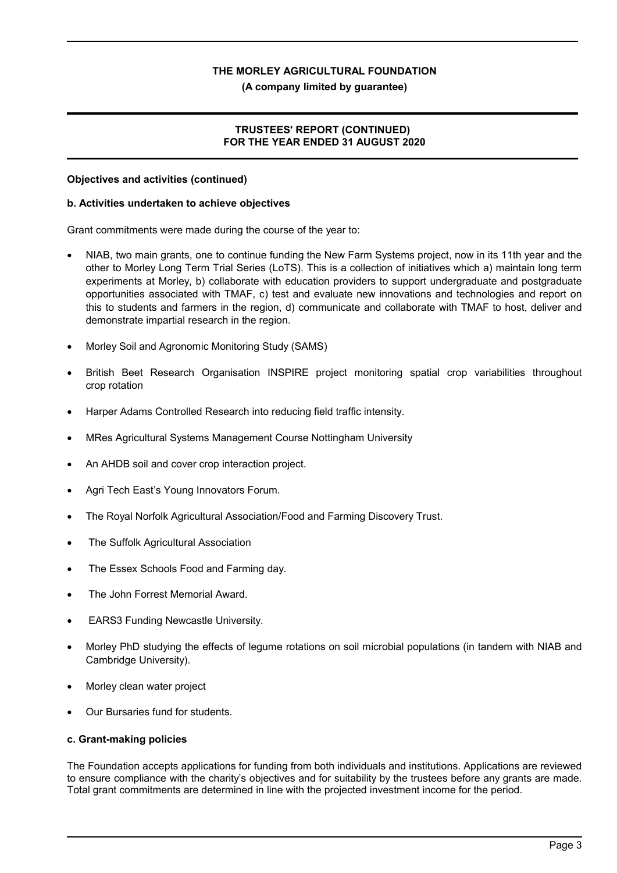#### **(A company limited by guarantee)**

## **TRUSTEES' REPORT (CONTINUED) FOR THE YEAR ENDED 31 AUGUST 2020**

#### **Objectives and activities (continued)**

#### **b. Activities undertaken to achieve objectives**

Grant commitments were made during the course of the year to:

- NIAB, two main grants, one to continue funding the New Farm Systems project, now in its 11th year and the other to Morley Long Term Trial Series (LoTS). This is a collection of initiatives which a) maintain long term experiments at Morley, b) collaborate with education providers to support undergraduate and postgraduate opportunities associated with TMAF, c) test and evaluate new innovations and technologies and report on this to students and farmers in the region, d) communicate and collaborate with TMAF to host, deliver and demonstrate impartial research in the region.
- Morley Soil and Agronomic Monitoring Study (SAMS)
- British Beet Research Organisation INSPIRE project monitoring spatial crop variabilities throughout crop rotation
- Harper Adams Controlled Research into reducing field traffic intensity.
- MRes Agricultural Systems Management Course Nottingham University
- An AHDB soil and cover crop interaction project.
- Agri Tech East's Young Innovators Forum.
- The Royal Norfolk Agricultural Association/Food and Farming Discovery Trust.
- The Suffolk Agricultural Association
- The Essex Schools Food and Farming day.
- The John Forrest Memorial Award.
- EARS3 Funding Newcastle University.
- Morley PhD studying the effects of legume rotations on soil microbial populations (in tandem with NIAB and Cambridge University).
- Morley clean water project
- Our Bursaries fund for students.

#### **c. Grant-making policies**

The Foundation accepts applications for funding from both individuals and institutions. Applications are reviewed to ensure compliance with the charity's objectives and for suitability by the trustees before any grants are made. Total grant commitments are determined in line with the projected investment income for the period.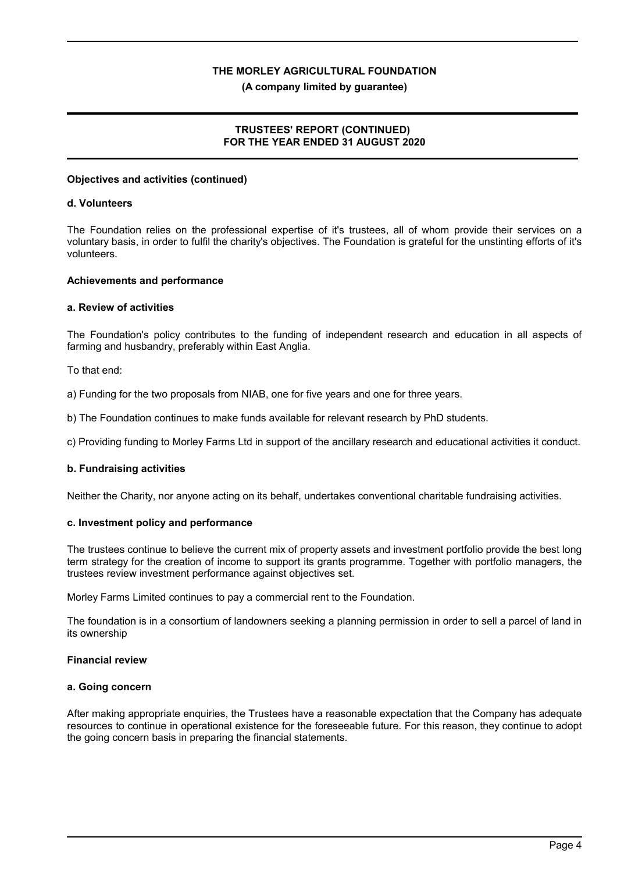#### **(A company limited by guarantee)**

# **TRUSTEES' REPORT (CONTINUED) FOR THE YEAR ENDED 31 AUGUST 2020**

#### **Objectives and activities (continued)**

#### **d. Volunteers**

The Foundation relies on the professional expertise of it's trustees, all of whom provide their services on a voluntary basis, in order to fulfil the charity's objectives. The Foundation is grateful for the unstinting efforts of it's volunteers.

#### **Achievements and performance**

#### **a. Review of activities**

The Foundation's policy contributes to the funding of independent research and education in all aspects of farming and husbandry, preferably within East Anglia.

To that end:

a) Funding for the two proposals from NIAB, one for five years and one for three years.

b) The Foundation continues to make funds available for relevant research by PhD students.

c) Providing funding to Morley Farms Ltd in support of the ancillary research and educational activities it conduct.

## **b. Fundraising activities**

Neither the Charity, nor anyone acting on its behalf, undertakes conventional charitable fundraising activities.

## **c. Investment policy and performance**

The trustees continue to believe the current mix of property assets and investment portfolio provide the best long term strategy for the creation of income to support its grants programme. Together with portfolio managers, the trustees review investment performance against objectives set.

Morley Farms Limited continues to pay a commercial rent to the Foundation.

The foundation is in a consortium of landowners seeking a planning permission in order to sell a parcel of land in its ownership

#### **Financial review**

#### **a. Going concern**

After making appropriate enquiries, the Trustees have a reasonable expectation that the Company has adequate resources to continue in operational existence for the foreseeable future. For this reason, they continue to adopt the going concern basis in preparing the financial statements.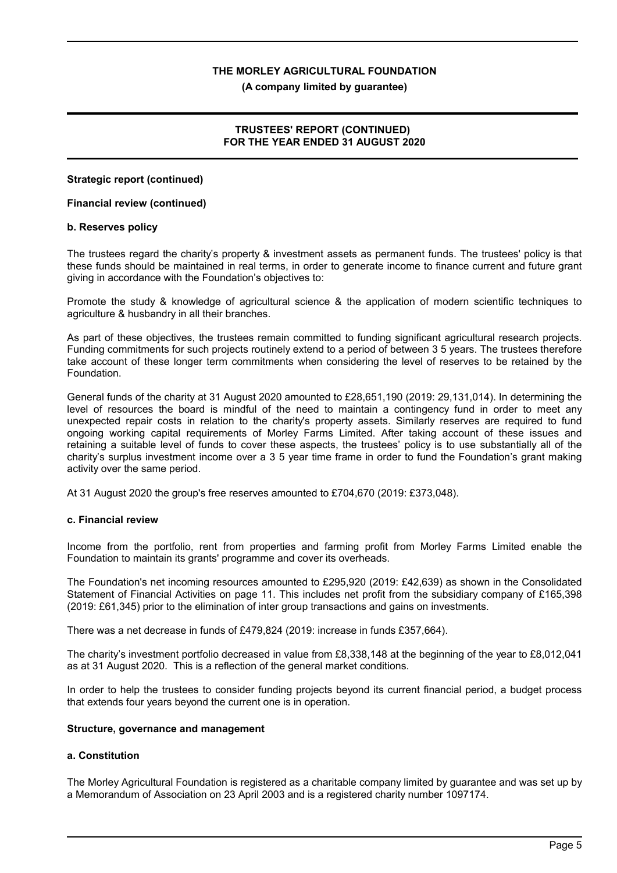**(A company limited by guarantee)**

# **TRUSTEES' REPORT (CONTINUED) FOR THE YEAR ENDED 31 AUGUST 2020**

## **Strategic report (continued)**

## **Financial review (continued)**

#### **b. Reserves policy**

The trustees regard the charity's property & investment assets as permanent funds. The trustees' policy is that these funds should be maintained in real terms, in order to generate income to finance current and future grant giving in accordance with the Foundation's objectives to:

Promote the study & knowledge of agricultural science & the application of modern scientific techniques to agriculture & husbandry in all their branches.

As part of these objectives, the trustees remain committed to funding significant agricultural research projects. Funding commitments for such projects routinely extend to a period of between 3 5 years. The trustees therefore take account of these longer term commitments when considering the level of reserves to be retained by the Foundation.

General funds of the charity at 31 August 2020 amounted to £28,651,190 (2019: 29,131,014). In determining the level of resources the board is mindful of the need to maintain a contingency fund in order to meet any unexpected repair costs in relation to the charity's property assets. Similarly reserves are required to fund ongoing working capital requirements of Morley Farms Limited. After taking account of these issues and retaining a suitable level of funds to cover these aspects, the trustees' policy is to use substantially all of the charity's surplus investment income over a 3 5 year time frame in order to fund the Foundation's grant making activity over the same period.

At 31 August 2020 the group's free reserves amounted to £704,670 (2019: £373,048).

# **c. Financial review**

Income from the portfolio, rent from properties and farming profit from Morley Farms Limited enable the Foundation to maintain its grants' programme and cover its overheads.

The Foundation's net incoming resources amounted to £295,920 (2019: £42,639) as shown in the Consolidated Statement of Financial Activities on page 11. This includes net profit from the subsidiary company of £165,398 (2019: £61,345) prior to the elimination of inter group transactions and gains on investments.

There was a net decrease in funds of £479,824 (2019: increase in funds £357,664).

The charity's investment portfolio decreased in value from £8,338,148 at the beginning of the year to £8,012,041 as at 31 August 2020. This is a reflection of the general market conditions.

In order to help the trustees to consider funding projects beyond its current financial period, a budget process that extends four years beyond the current one is in operation.

#### **Structure, governance and management**

## **a. Constitution**

The Morley Agricultural Foundation is registered as a charitable company limited by guarantee and was set up by a Memorandum of Association on 23 April 2003 and is a registered charity number 1097174.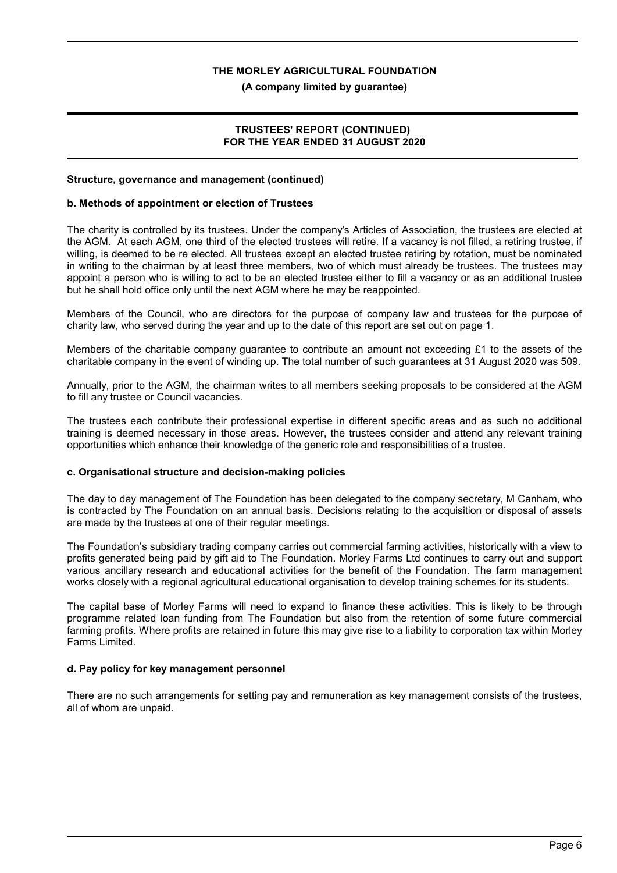#### **(A company limited by guarantee)**

## **TRUSTEES' REPORT (CONTINUED) FOR THE YEAR ENDED 31 AUGUST 2020**

#### **Structure, governance and management (continued)**

#### **b. Methods of appointment or election of Trustees**

The charity is controlled by its trustees. Under the company's Articles of Association, the trustees are elected at the AGM. At each AGM, one third of the elected trustees will retire. If a vacancy is not filled, a retiring trustee, if willing, is deemed to be re elected. All trustees except an elected trustee retiring by rotation, must be nominated in writing to the chairman by at least three members, two of which must already be trustees. The trustees may appoint a person who is willing to act to be an elected trustee either to fill a vacancy or as an additional trustee but he shall hold office only until the next AGM where he may be reappointed.

Members of the Council, who are directors for the purpose of company law and trustees for the purpose of charity law, who served during the year and up to the date of this report are set out on page 1.

Members of the charitable company guarantee to contribute an amount not exceeding £1 to the assets of the charitable company in the event of winding up. The total number of such guarantees at 31 August 2020 was 509.

Annually, prior to the AGM, the chairman writes to all members seeking proposals to be considered at the AGM to fill any trustee or Council vacancies.

The trustees each contribute their professional expertise in different specific areas and as such no additional training is deemed necessary in those areas. However, the trustees consider and attend any relevant training opportunities which enhance their knowledge of the generic role and responsibilities of a trustee.

## **c. Organisational structure and decision-making policies**

The day to day management of The Foundation has been delegated to the company secretary, M Canham, who is contracted by The Foundation on an annual basis. Decisions relating to the acquisition or disposal of assets are made by the trustees at one of their regular meetings.

The Foundation's subsidiary trading company carries out commercial farming activities, historically with a view to profits generated being paid by gift aid to The Foundation. Morley Farms Ltd continues to carry out and support various ancillary research and educational activities for the benefit of the Foundation. The farm management works closely with a regional agricultural educational organisation to develop training schemes for its students.

The capital base of Morley Farms will need to expand to finance these activities. This is likely to be through programme related loan funding from The Foundation but also from the retention of some future commercial farming profits. Where profits are retained in future this may give rise to a liability to corporation tax within Morley Farms Limited.

## **d. Pay policy for key management personnel**

There are no such arrangements for setting pay and remuneration as key management consists of the trustees, all of whom are unpaid.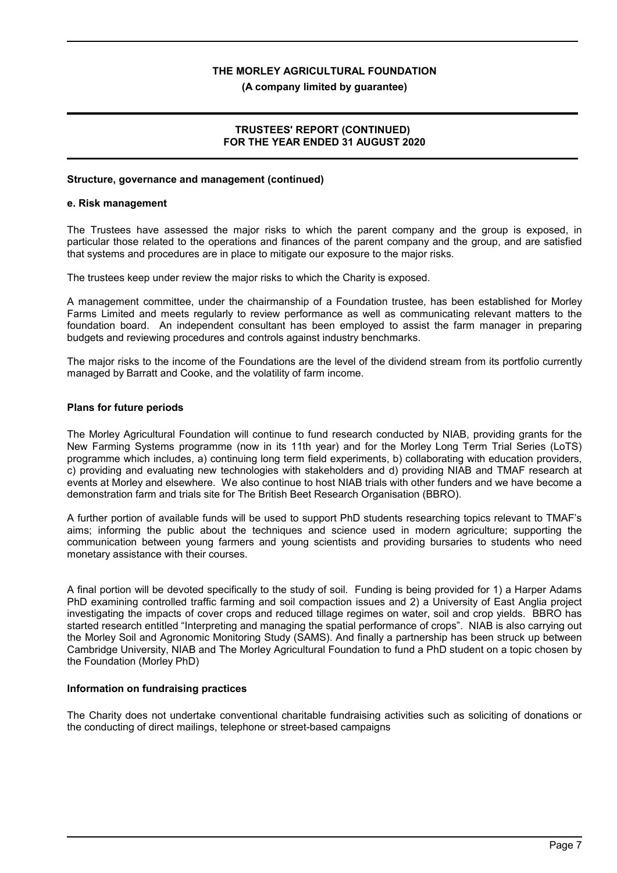**(A company limited by guarantee)**

## **TRUSTEES' REPORT (CONTINUED) FOR THE YEAR ENDED 31 AUGUST 2020**

#### **Structure, governance and management (continued)**

#### **e. Risk management**

The Trustees have assessed the major risks to which the parent company and the group is exposed, in particular those related to the operations and finances of the parent company and the group, and are satisfied that systems and procedures are in place to mitigate our exposure to the major risks.

The trustees keep under review the major risks to which the Charity is exposed.

A management committee, under the chairmanship of a Foundation trustee, has been established for Morley Farms Limited and meets regularly to review performance as well as communicating relevant matters to the foundation board. An independent consultant has been employed to assist the farm manager in preparing budgets and reviewing procedures and controls against industry benchmarks.

The major risks to the income of the Foundations are the level of the dividend stream from its portfolio currently managed by Barratt and Cooke, and the volatility of farm income.

## **Plans for future periods**

The Morley Agricultural Foundation will continue to fund research conducted by NIAB, providing grants for the New Farming Systems programme (now in its 11th year) and for the Morley Long Term Trial Series (LoTS) programme which includes, a) continuing long term field experiments, b) collaborating with education providers, c) providing and evaluating new technologies with stakeholders and d) providing NIAB and TMAF research at events at Morley and elsewhere. We also continue to host NIAB trials with other funders and we have become a demonstration farm and trials site for The British Beet Research Organisation (BBRO).

A further portion of available funds will be used to support PhD students researching topics relevant to TMAF's aims; informing the public about the techniques and science used in modern agriculture; supporting the communication between young farmers and young scientists and providing bursaries to students who need monetary assistance with their courses.

A final portion will be devoted specifically to the study of soil. Funding is being provided for 1) a Harper Adams PhD examining controlled traffic farming and soil compaction issues and 2) a University of East Anglia project investigating the impacts of cover crops and reduced tillage regimes on water, soil and crop yields. BBRO has started research entitled "Interpreting and managing the spatial performance of crops". NIAB is also carrying out the Morley Soil and Agronomic Monitoring Study (SAMS). And finally a partnership has been struck up between Cambridge University, NIAB and The Morley Agricultural Foundation to fund a PhD student on a topic chosen by the Foundation (Morley PhD)

## **Information on fundraising practices**

The Charity does not undertake conventional charitable fundraising activities such as soliciting of donations or the conducting of direct mailings, telephone or street-based campaigns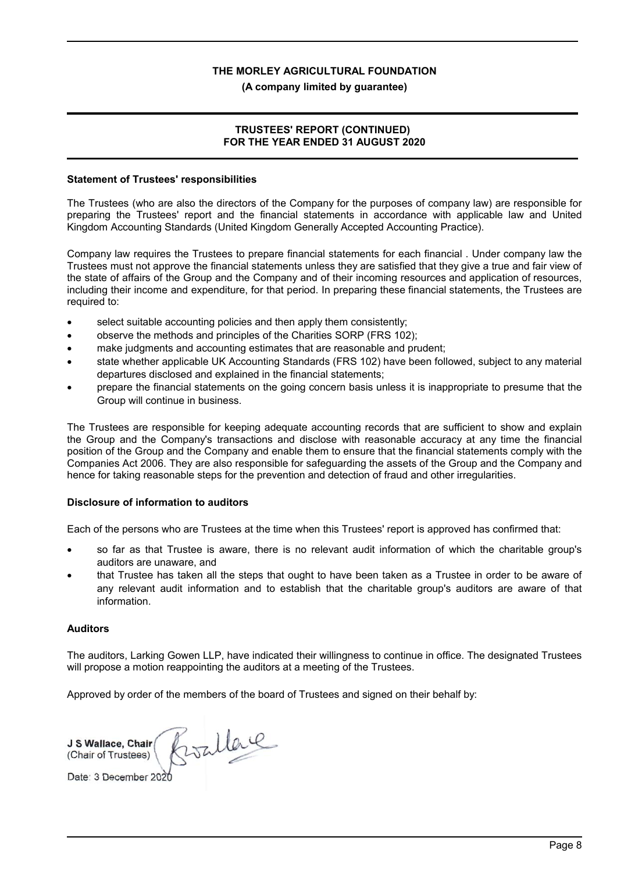#### **(A company limited by guarantee)**

## **TRUSTEES' REPORT (CONTINUED) FOR THE YEAR ENDED 31 AUGUST 2020**

#### **Statement of Trustees' responsibilities**

The Trustees (who are also the directors of the Company for the purposes of company law) are responsible for preparing the Trustees' report and the financial statements in accordance with applicable law and United Kingdom Accounting Standards (United Kingdom Generally Accepted Accounting Practice).

Company law requires the Trustees to prepare financial statements for each financial . Under company law the Trustees must not approve the financial statements unless they are satisfied that they give a true and fair view of the state of affairs of the Group and the Company and of their incoming resources and application of resources, including their income and expenditure, for that period. In preparing these financial statements, the Trustees are required to:

- select suitable accounting policies and then apply them consistently;
- observe the methods and principles of the Charities SORP (FRS 102);
- make judgments and accounting estimates that are reasonable and prudent;
- state whether applicable UK Accounting Standards (FRS 102) have been followed, subject to any material departures disclosed and explained in the financial statements;
- prepare the financial statements on the going concern basis unless it is inappropriate to presume that the Group will continue in business.

The Trustees are responsible for keeping adequate accounting records that are sufficient to show and explain the Group and the Company's transactions and disclose with reasonable accuracy at any time the financial position of the Group and the Company and enable them to ensure that the financial statements comply with the Companies Act 2006. They are also responsible for safeguarding the assets of the Group and the Company and hence for taking reasonable steps for the prevention and detection of fraud and other irregularities.

## **Disclosure of information to auditors**

Each of the persons who are Trustees at the time when this Trustees' report is approved has confirmed that:

- so far as that Trustee is aware, there is no relevant audit information of which the charitable group's auditors are unaware, and
- that Trustee has taken all the steps that ought to have been taken as a Trustee in order to be aware of any relevant audit information and to establish that the charitable group's auditors are aware of that information.

## **Auditors**

The auditors, Larking Gowen LLP, have indicated their willingness to continue in office. The designated Trustees will propose a motion reappointing the auditors at a meeting of the Trustees.

Approved by order of the members of the board of Trustees and signed on their behalf by:

Boallace **J S Wallace, Chair** (Chair of Trustees) Date: 3 December 2020

Page 8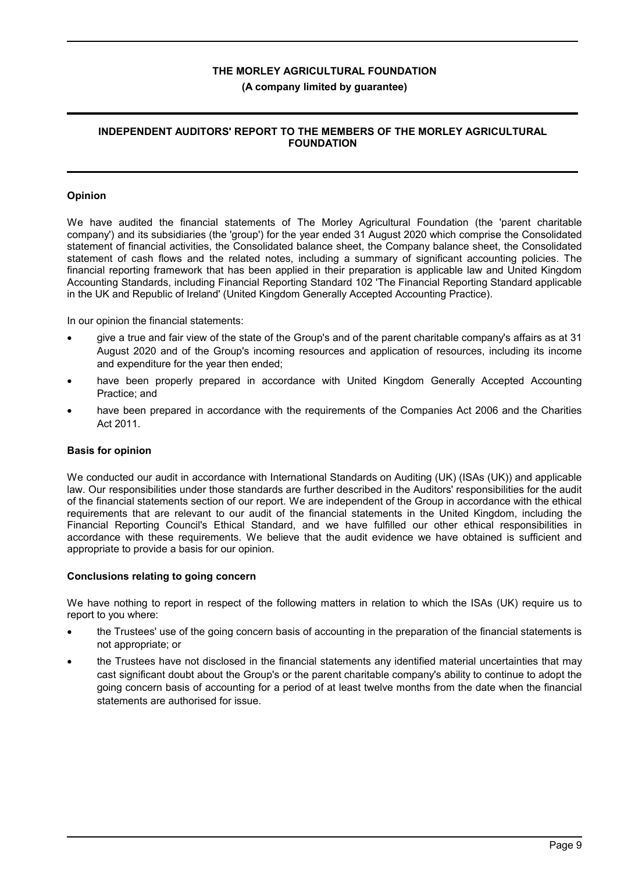#### **(A company limited by guarantee)**

# **INDEPENDENT AUDITORS' REPORT TO THE MEMBERS OF THE MORLEY AGRICULTURAL FOUNDATION**

## **Opinion**

We have audited the financial statements of The Morley Agricultural Foundation (the 'parent charitable company') and its subsidiaries (the 'group') for the year ended 31 August 2020 which comprise the Consolidated statement of financial activities, the Consolidated balance sheet, the Company balance sheet, the Consolidated statement of cash flows and the related notes, including a summary of significant accounting policies. The financial reporting framework that has been applied in their preparation is applicable law and United Kingdom Accounting Standards, including Financial Reporting Standard 102 'The Financial Reporting Standard applicable in the UK and Republic of Ireland' (United Kingdom Generally Accepted Accounting Practice).

In our opinion the financial statements:

- give a true and fair view of the state of the Group's and of the parent charitable company's affairs as at 31 August 2020 and of the Group's incoming resources and application of resources, including its income and expenditure for the year then ended;
- have been properly prepared in accordance with United Kingdom Generally Accepted Accounting Practice; and
- have been prepared in accordance with the requirements of the Companies Act 2006 and the Charities Act 2011.

## **Basis for opinion**

We conducted our audit in accordance with International Standards on Auditing (UK) (ISAs (UK)) and applicable law. Our responsibilities under those standards are further described in the Auditors' responsibilities for the audit of the financial statements section of our report. We are independent of the Group in accordance with the ethical requirements that are relevant to our audit of the financial statements in the United Kingdom, including the Financial Reporting Council's Ethical Standard, and we have fulfilled our other ethical responsibilities in accordance with these requirements. We believe that the audit evidence we have obtained is sufficient and appropriate to provide a basis for our opinion.

#### **Conclusions relating to going concern**

We have nothing to report in respect of the following matters in relation to which the ISAs (UK) require us to report to you where:

- the Trustees' use of the going concern basis of accounting in the preparation of the financial statements is not appropriate; or
- the Trustees have not disclosed in the financial statements any identified material uncertainties that may cast significant doubt about the Group's or the parent charitable company's ability to continue to adopt the going concern basis of accounting for a period of at least twelve months from the date when the financial statements are authorised for issue.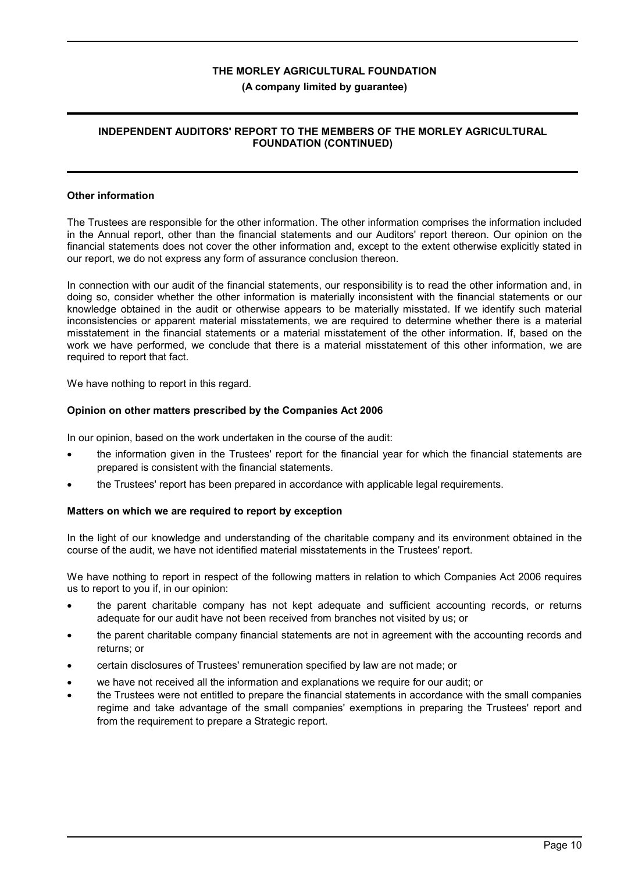#### **(A company limited by guarantee)**

## **INDEPENDENT AUDITORS' REPORT TO THE MEMBERS OF THE MORLEY AGRICULTURAL FOUNDATION (CONTINUED)**

#### **Other information**

The Trustees are responsible for the other information. The other information comprises the information included in the Annual report, other than the financial statements and our Auditors' report thereon. Our opinion on the financial statements does not cover the other information and, except to the extent otherwise explicitly stated in our report, we do not express any form of assurance conclusion thereon.

In connection with our audit of the financial statements, our responsibility is to read the other information and, in doing so, consider whether the other information is materially inconsistent with the financial statements or our knowledge obtained in the audit or otherwise appears to be materially misstated. If we identify such material inconsistencies or apparent material misstatements, we are required to determine whether there is a material misstatement in the financial statements or a material misstatement of the other information. If, based on the work we have performed, we conclude that there is a material misstatement of this other information, we are required to report that fact.

We have nothing to report in this regard.

#### **Opinion on other matters prescribed by the Companies Act 2006**

In our opinion, based on the work undertaken in the course of the audit:

- the information given in the Trustees' report for the financial year for which the financial statements are prepared is consistent with the financial statements.
- the Trustees' report has been prepared in accordance with applicable legal requirements.

#### **Matters on which we are required to report by exception**

In the light of our knowledge and understanding of the charitable company and its environment obtained in the course of the audit, we have not identified material misstatements in the Trustees' report.

We have nothing to report in respect of the following matters in relation to which Companies Act 2006 requires us to report to you if, in our opinion:

- the parent charitable company has not kept adequate and sufficient accounting records, or returns adequate for our audit have not been received from branches not visited by us; or
- the parent charitable company financial statements are not in agreement with the accounting records and returns; or
- certain disclosures of Trustees' remuneration specified by law are not made; or
- we have not received all the information and explanations we require for our audit; or
- the Trustees were not entitled to prepare the financial statements in accordance with the small companies regime and take advantage of the small companies' exemptions in preparing the Trustees' report and from the requirement to prepare a Strategic report.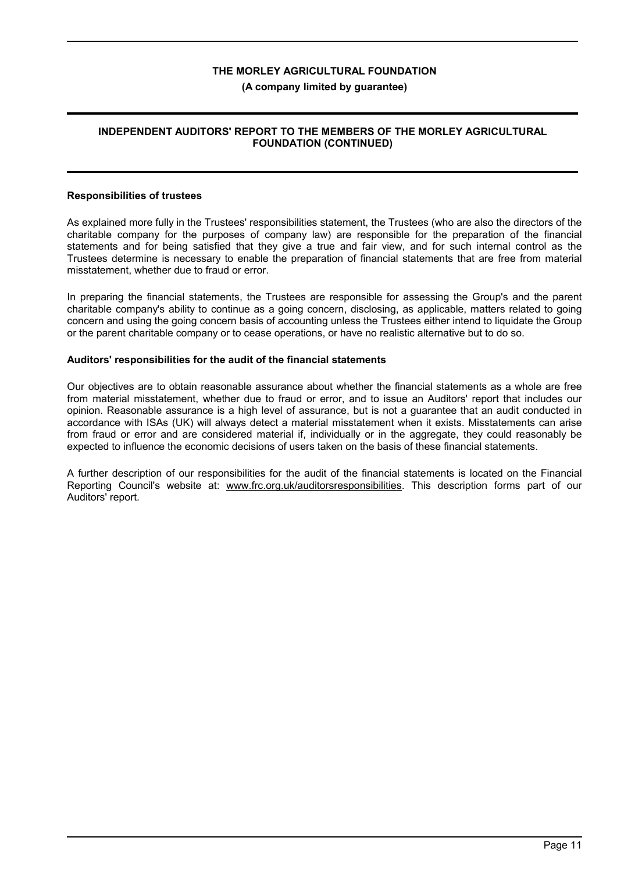#### **(A company limited by guarantee)**

## **INDEPENDENT AUDITORS' REPORT TO THE MEMBERS OF THE MORLEY AGRICULTURAL FOUNDATION (CONTINUED)**

#### **Responsibilities of trustees**

As explained more fully in the Trustees' responsibilities statement, the Trustees (who are also the directors of the charitable company for the purposes of company law) are responsible for the preparation of the financial statements and for being satisfied that they give a true and fair view, and for such internal control as the Trustees determine is necessary to enable the preparation of financial statements that are free from material misstatement, whether due to fraud or error.

In preparing the financial statements, the Trustees are responsible for assessing the Group's and the parent charitable company's ability to continue as a going concern, disclosing, as applicable, matters related to going concern and using the going concern basis of accounting unless the Trustees either intend to liquidate the Group or the parent charitable company or to cease operations, or have no realistic alternative but to do so.

#### **Auditors' responsibilities for the audit of the financial statements**

Our objectives are to obtain reasonable assurance about whether the financial statements as a whole are free from material misstatement, whether due to fraud or error, and to issue an Auditors' report that includes our opinion. Reasonable assurance is a high level of assurance, but is not a guarantee that an audit conducted in accordance with ISAs (UK) will always detect a material misstatement when it exists. Misstatements can arise from fraud or error and are considered material if, individually or in the aggregate, they could reasonably be expected to influence the economic decisions of users taken on the basis of these financial statements.

A further description of our responsibilities for the audit of the financial statements is located on the Financial Reporting Council's website at: www.frc.org.uk/auditorsresponsibilities. This description forms part of our Auditors' report.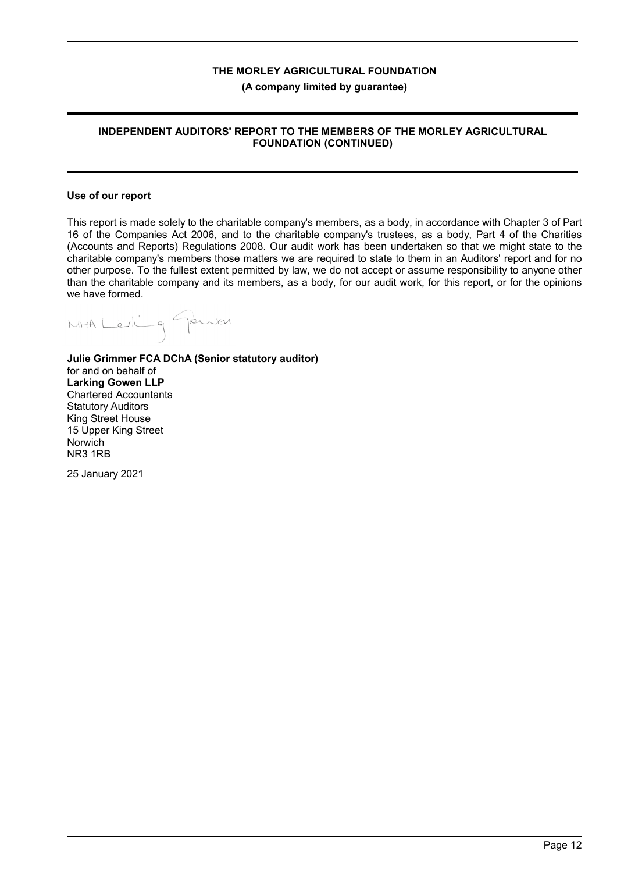**(A company limited by guarantee)**

## **INDEPENDENT AUDITORS' REPORT TO THE MEMBERS OF THE MORLEY AGRICULTURAL FOUNDATION (CONTINUED)**

#### **Use of our report**

This report is made solely to the charitable company's members, as a body, in accordance with Chapter 3 of Part 16 of the Companies Act 2006, and to the charitable company's trustees, as a body, Part 4 of the Charities (Accounts and Reports) Regulations 2008. Our audit work has been undertaken so that we might state to the charitable company's members those matters we are required to state to them in an Auditors' report and for no other purpose. To the fullest extent permitted by law, we do not accept or assume responsibility to anyone other than the charitable company and its members, as a body, for our audit work, for this report, or for the opinions we have formed.

MAA Lerling Gewich

**Julie Grimmer FCA DChA (Senior statutory auditor)** for and on behalf of **Larking Gowen LLP** Chartered Accountants Statutory Auditors King Street House 15 Upper King Street Norwich NR3 1RB

25 January 2021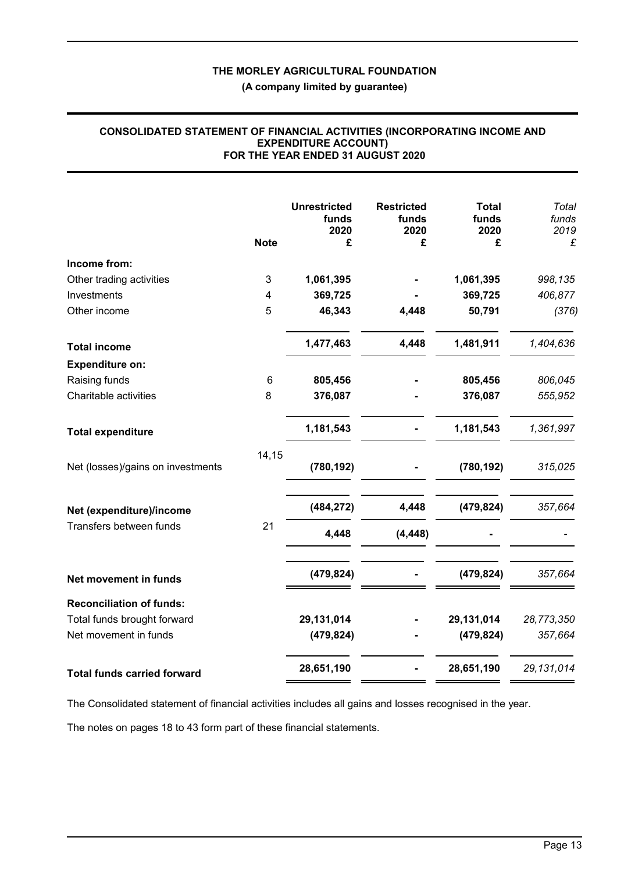**(A company limited by guarantee)**

#### **CONSOLIDATED STATEMENT OF FINANCIAL ACTIVITIES (INCORPORATING INCOME AND EXPENDITURE ACCOUNT) FOR THE YEAR ENDED 31 AUGUST 2020**

|                                    |                 | <b>Unrestricted</b><br>funds<br>2020 | <b>Restricted</b><br>funds<br>2020 | <b>Total</b><br>funds<br>2020 | Total<br>funds<br>2019 |
|------------------------------------|-----------------|--------------------------------------|------------------------------------|-------------------------------|------------------------|
|                                    | <b>Note</b>     | £                                    | £                                  | £                             | £                      |
| Income from:                       |                 |                                      |                                    |                               |                        |
| Other trading activities           | 3               | 1,061,395                            |                                    | 1,061,395                     | 998,135                |
| Investments                        | 4               | 369,725                              |                                    | 369,725                       | 406,877                |
| Other income                       | 5               | 46,343                               | 4,448                              | 50,791                        | (376)                  |
| <b>Total income</b>                |                 | 1,477,463                            | 4,448                              | 1,481,911                     | 1,404,636              |
| <b>Expenditure on:</b>             |                 |                                      |                                    |                               |                        |
| Raising funds                      | $6\phantom{1}6$ | 805,456                              |                                    | 805,456                       | 806,045                |
| Charitable activities              | 8               | 376,087                              |                                    | 376,087                       | 555,952                |
| <b>Total expenditure</b>           |                 | 1,181,543                            |                                    | 1,181,543                     | 1,361,997              |
| Net (losses)/gains on investments  | 14,15           | (780, 192)                           |                                    | (780, 192)                    | 315,025                |
| Net (expenditure)/income           |                 | (484, 272)                           | 4,448                              | (479, 824)                    | 357,664                |
| Transfers between funds            | 21              | 4,448                                | (4, 448)                           |                               |                        |
| Net movement in funds              |                 | (479, 824)                           |                                    | (479, 824)                    | 357,664                |
| <b>Reconciliation of funds:</b>    |                 |                                      |                                    |                               |                        |
| Total funds brought forward        |                 | 29,131,014                           |                                    | 29,131,014                    | 28,773,350             |
| Net movement in funds              |                 | (479, 824)                           |                                    | (479, 824)                    | 357,664                |
| <b>Total funds carried forward</b> |                 | 28,651,190                           |                                    | 28,651,190                    | 29, 131, 014           |

The Consolidated statement of financial activities includes all gains and losses recognised in the year.

The notes on pages 18 to 43 form part of these financial statements.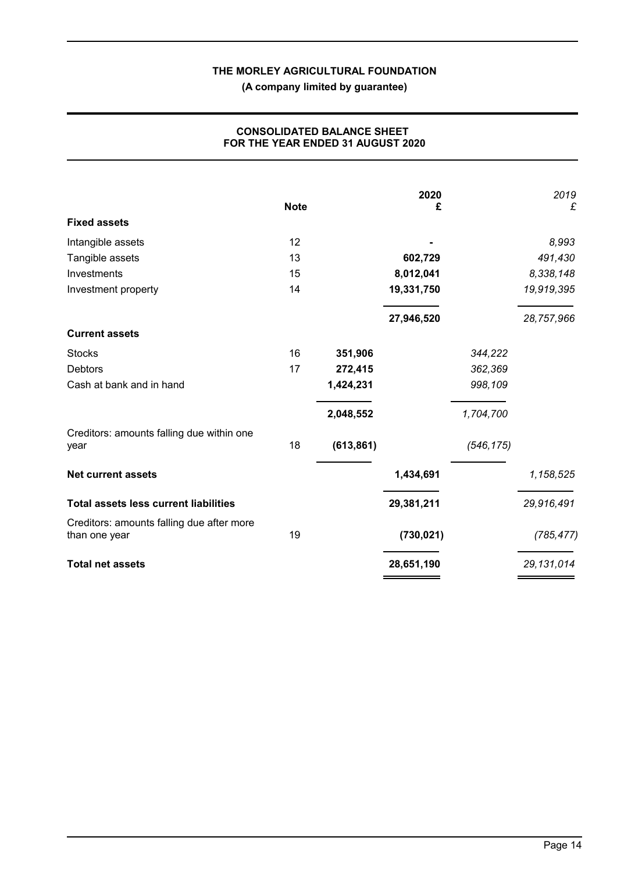**(A company limited by guarantee)**

|                                                            | <b>Note</b> |            | 2020<br>£  |            | 2019<br>£    |
|------------------------------------------------------------|-------------|------------|------------|------------|--------------|
| <b>Fixed assets</b>                                        |             |            |            |            |              |
| Intangible assets                                          | 12          |            |            |            | 8,993        |
| Tangible assets                                            | 13          |            | 602,729    |            | 491,430      |
| Investments                                                | 15          |            | 8,012,041  |            | 8,338,148    |
| Investment property                                        | 14          |            | 19,331,750 |            | 19,919,395   |
|                                                            |             |            | 27,946,520 |            | 28,757,966   |
| <b>Current assets</b>                                      |             |            |            |            |              |
| <b>Stocks</b>                                              | 16          | 351,906    |            | 344,222    |              |
| <b>Debtors</b>                                             | 17          | 272,415    |            | 362,369    |              |
| Cash at bank and in hand                                   |             | 1,424,231  |            | 998,109    |              |
|                                                            |             | 2,048,552  |            | 1,704,700  |              |
| Creditors: amounts falling due within one<br>year          | 18          | (613, 861) |            | (546, 175) |              |
| <b>Net current assets</b>                                  |             |            | 1,434,691  |            | 1,158,525    |
| <b>Total assets less current liabilities</b>               |             |            | 29,381,211 |            | 29,916,491   |
| Creditors: amounts falling due after more<br>than one year | 19          |            | (730, 021) |            | (785, 477)   |
| <b>Total net assets</b>                                    |             |            | 28,651,190 |            | 29, 131, 014 |

# **CONSOLIDATED BALANCE SHEET FOR THE YEAR ENDED 31 AUGUST 2020**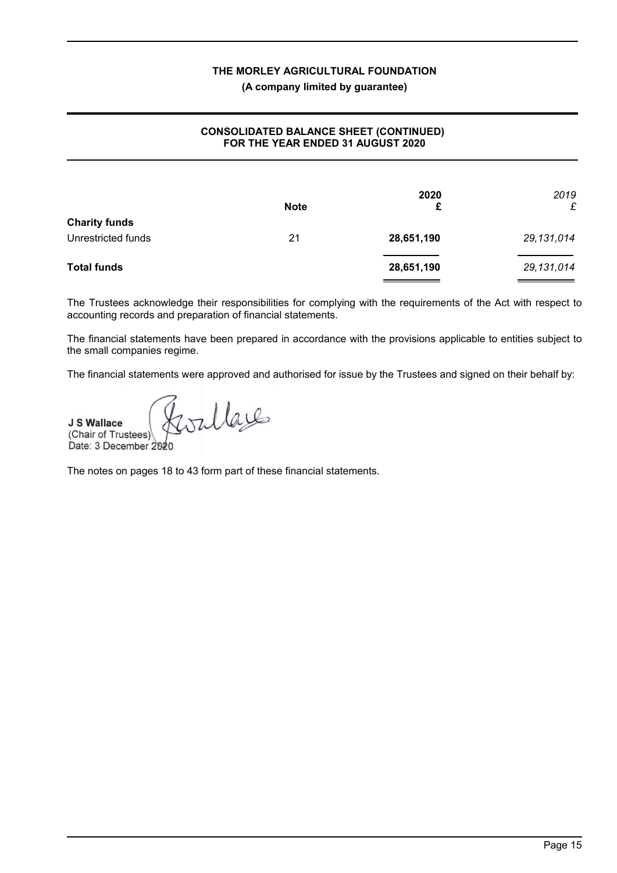## **(A company limited by guarantee)**

# **CONSOLIDATED BALANCE SHEET (CONTINUED) FOR THE YEAR ENDED 31 AUGUST 2020**

|                      | <b>Note</b> | 2020<br>£  | 2019<br>£  |
|----------------------|-------------|------------|------------|
| <b>Charity funds</b> |             |            |            |
| Unrestricted funds   | 21          | 28,651,190 | 29,131,014 |
| <b>Total funds</b>   |             | 28,651,190 | 29,131,014 |

The Trustees acknowledge their responsibilities for complying with the requirements of the Act with respect to accounting records and preparation of financial statements.

The financial statements have been prepared in accordance with the provisions applicable to entities subject to the small companies regime.

The financial statements were approved and authorised for issue by the Trustees and signed on their behalf by:

Gorllage **J S Wallace** (Chair of Trustees) Date: 3 December 2020

The notes on pages 18 to 43 form part of these financial statements.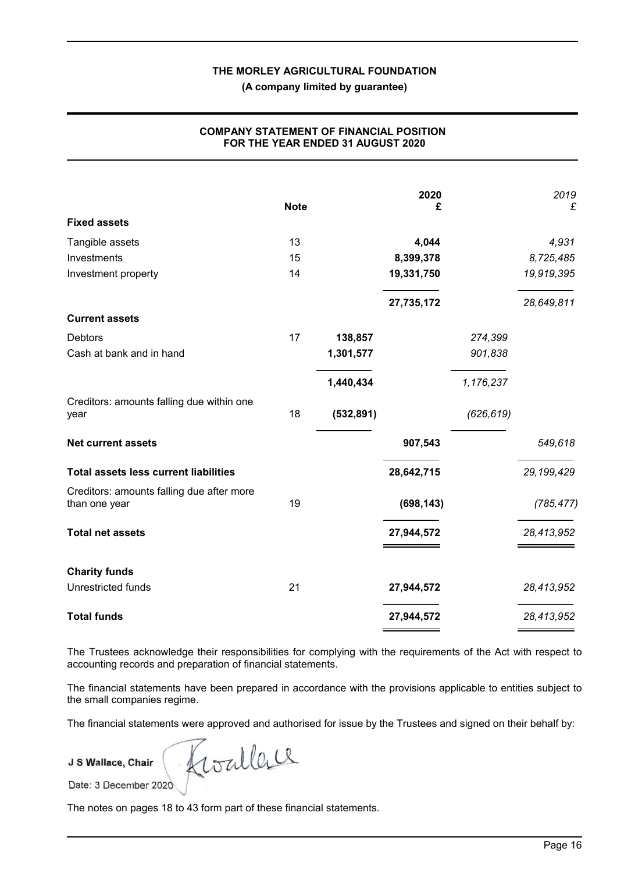**(A company limited by guarantee)**

|                                              |             |            | 2020       |            | 2019         |
|----------------------------------------------|-------------|------------|------------|------------|--------------|
|                                              | <b>Note</b> |            | £          |            | £            |
| <b>Fixed assets</b>                          |             |            |            |            |              |
| Tangible assets                              | 13          |            | 4,044      |            | 4,931        |
| Investments                                  | 15          |            | 8,399,378  |            | 8,725,485    |
| Investment property                          | 14          |            | 19,331,750 |            | 19,919,395   |
|                                              |             |            | 27,735,172 |            | 28,649,811   |
| <b>Current assets</b>                        |             |            |            |            |              |
| Debtors                                      | 17          | 138,857    |            | 274,399    |              |
| Cash at bank and in hand                     |             | 1,301,577  |            | 901,838    |              |
|                                              |             | 1,440,434  |            | 1,176,237  |              |
| Creditors: amounts falling due within one    |             |            |            |            |              |
| year                                         | 18          | (532, 891) |            | (626, 619) |              |
| <b>Net current assets</b>                    |             |            | 907,543    |            | 549,618      |
| <b>Total assets less current liabilities</b> |             |            | 28,642,715 |            | 29, 199, 429 |
| Creditors: amounts falling due after more    |             |            |            |            |              |
| than one year                                | 19          |            | (698, 143) |            | (785, 477)   |
| <b>Total net assets</b>                      |             |            | 27,944,572 |            | 28,413,952   |
| <b>Charity funds</b>                         |             |            |            |            |              |
| Unrestricted funds                           | 21          |            | 27,944,572 |            | 28,413,952   |
|                                              |             |            |            |            |              |
| <b>Total funds</b>                           |             |            | 27,944,572 |            | 28,413,952   |

## **COMPANY STATEMENT OF FINANCIAL POSITION FOR THE YEAR ENDED 31 AUGUST 2020**

The Trustees acknowledge their responsibilities for complying with the requirements of the Act with respect to accounting records and preparation of financial statements.

The financial statements have been prepared in accordance with the provisions applicable to entities subject to the small companies regime.

The financial statements were approved and authorised for issue by the Trustees and signed on their behalf by:

**J S Wallace, Chair**

Roallere

Date: 3 December 2020

The notes on pages 18 to 43 form part of these financial statements.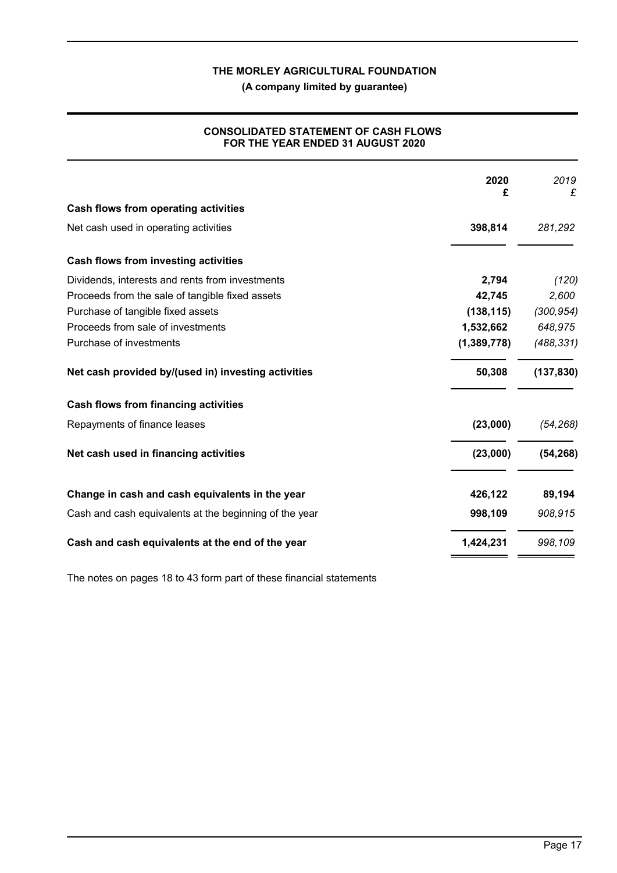**(A company limited by guarantee)**

# **CONSOLIDATED STATEMENT OF CASH FLOWS FOR THE YEAR ENDED 31 AUGUST 2020**

|                                                        | 2020<br>£   | 2019<br>£  |
|--------------------------------------------------------|-------------|------------|
| <b>Cash flows from operating activities</b>            |             |            |
| Net cash used in operating activities                  | 398,814     | 281,292    |
| Cash flows from investing activities                   |             |            |
| Dividends, interests and rents from investments        | 2,794       | (120)      |
| Proceeds from the sale of tangible fixed assets        | 42,745      | 2,600      |
| Purchase of tangible fixed assets                      | (138, 115)  | (300, 954) |
| Proceeds from sale of investments                      | 1,532,662   | 648,975    |
| Purchase of investments                                | (1,389,778) | (488, 331) |
| Net cash provided by/(used in) investing activities    | 50,308      | (137, 830) |
| <b>Cash flows from financing activities</b>            |             |            |
| Repayments of finance leases                           | (23,000)    | (54, 268)  |
| Net cash used in financing activities                  | (23,000)    | (54, 268)  |
| Change in cash and cash equivalents in the year        | 426,122     | 89,194     |
| Cash and cash equivalents at the beginning of the year | 998,109     | 908,915    |
| Cash and cash equivalents at the end of the year       | 1,424,231   | 998,109    |

The notes on pages 18 to 43 form part of these financial statements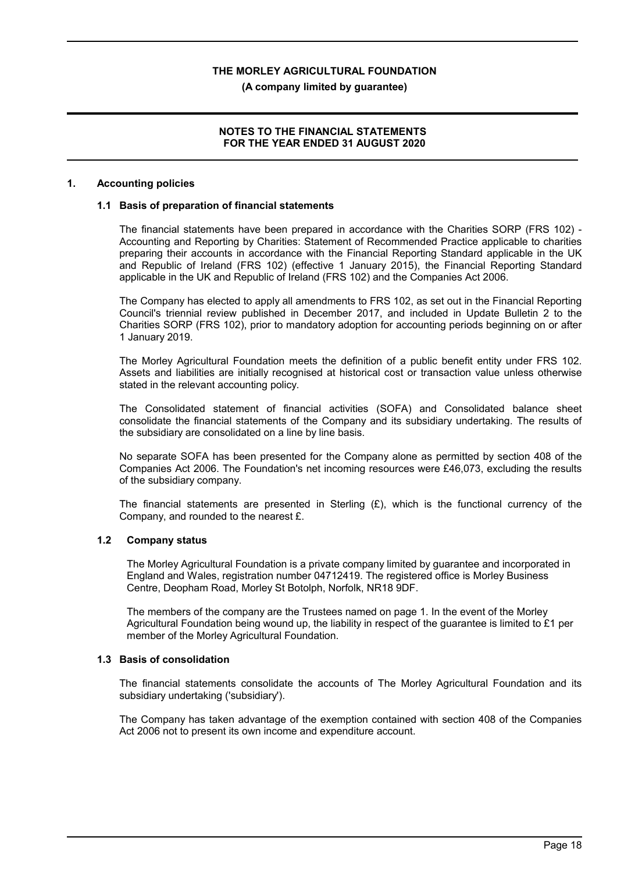#### **(A company limited by guarantee)**

## **NOTES TO THE FINANCIAL STATEMENTS FOR THE YEAR ENDED 31 AUGUST 2020**

#### **1. Accounting policies**

#### **1.1 Basis of preparation of financial statements**

The financial statements have been prepared in accordance with the Charities SORP (FRS 102) - Accounting and Reporting by Charities: Statement of Recommended Practice applicable to charities preparing their accounts in accordance with the Financial Reporting Standard applicable in the UK and Republic of Ireland (FRS 102) (effective 1 January 2015), the Financial Reporting Standard applicable in the UK and Republic of Ireland (FRS 102) and the Companies Act 2006.

The Company has elected to apply all amendments to FRS 102, as set out in the Financial Reporting Council's triennial review published in December 2017, and included in Update Bulletin 2 to the Charities SORP (FRS 102), prior to mandatory adoption for accounting periods beginning on or after 1 January 2019.

The Morley Agricultural Foundation meets the definition of a public benefit entity under FRS 102. Assets and liabilities are initially recognised at historical cost or transaction value unless otherwise stated in the relevant accounting policy.

The Consolidated statement of financial activities (SOFA) and Consolidated balance sheet consolidate the financial statements of the Company and its subsidiary undertaking. The results of the subsidiary are consolidated on a line by line basis.

No separate SOFA has been presented for the Company alone as permitted by section 408 of the Companies Act 2006. The Foundation's net incoming resources were £46,073, excluding the results of the subsidiary company.

The financial statements are presented in Sterling  $(E)$ , which is the functional currency of the Company, and rounded to the nearest £.

## **1.2 Company status**

The Morley Agricultural Foundation is a private company limited by guarantee and incorporated in England and Wales, registration number 04712419. The registered office is Morley Business Centre, Deopham Road, Morley St Botolph, Norfolk, NR18 9DF.

The members of the company are the Trustees named on page 1. In the event of the Morley Agricultural Foundation being wound up, the liability in respect of the guarantee is limited to £1 per member of the Morley Agricultural Foundation.

#### **1.3 Basis of consolidation**

The financial statements consolidate the accounts of The Morley Agricultural Foundation and its subsidiary undertaking ('subsidiary').

The Company has taken advantage of the exemption contained with section 408 of the Companies Act 2006 not to present its own income and expenditure account.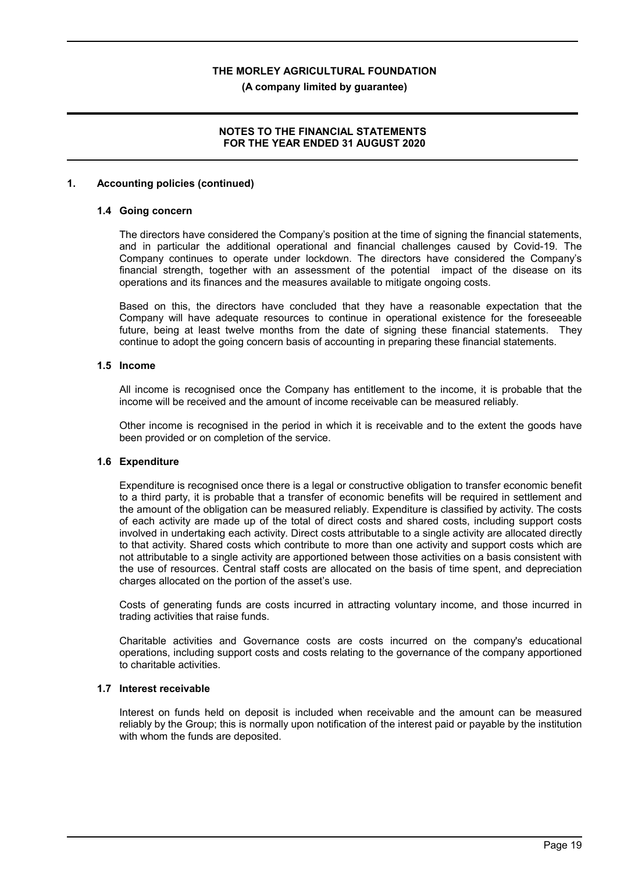**(A company limited by guarantee)**

# **NOTES TO THE FINANCIAL STATEMENTS FOR THE YEAR ENDED 31 AUGUST 2020**

#### **1. Accounting policies (continued)**

#### **1.4 Going concern**

The directors have considered the Company's position at the time of signing the financial statements, and in particular the additional operational and financial challenges caused by Covid-19. The Company continues to operate under lockdown. The directors have considered the Company's financial strength, together with an assessment of the potential impact of the disease on its operations and its finances and the measures available to mitigate ongoing costs.

Based on this, the directors have concluded that they have a reasonable expectation that the Company will have adequate resources to continue in operational existence for the foreseeable future, being at least twelve months from the date of signing these financial statements. They continue to adopt the going concern basis of accounting in preparing these financial statements.

## **1.5 Income**

All income is recognised once the Company has entitlement to the income, it is probable that the income will be received and the amount of income receivable can be measured reliably.

Other income is recognised in the period in which it is receivable and to the extent the goods have been provided or on completion of the service.

## **1.6 Expenditure**

Expenditure is recognised once there is a legal or constructive obligation to transfer economic benefit to a third party, it is probable that a transfer of economic benefits will be required in settlement and the amount of the obligation can be measured reliably. Expenditure is classified by activity. The costs of each activity are made up of the total of direct costs and shared costs, including support costs involved in undertaking each activity. Direct costs attributable to a single activity are allocated directly to that activity. Shared costs which contribute to more than one activity and support costs which are not attributable to a single activity are apportioned between those activities on a basis consistent with the use of resources. Central staff costs are allocated on the basis of time spent, and depreciation charges allocated on the portion of the asset's use.

Costs of generating funds are costs incurred in attracting voluntary income, and those incurred in trading activities that raise funds.

Charitable activities and Governance costs are costs incurred on the company's educational operations, including support costs and costs relating to the governance of the company apportioned to charitable activities.

# **1.7 Interest receivable**

Interest on funds held on deposit is included when receivable and the amount can be measured reliably by the Group; this is normally upon notification of the interest paid or payable by the institution with whom the funds are deposited.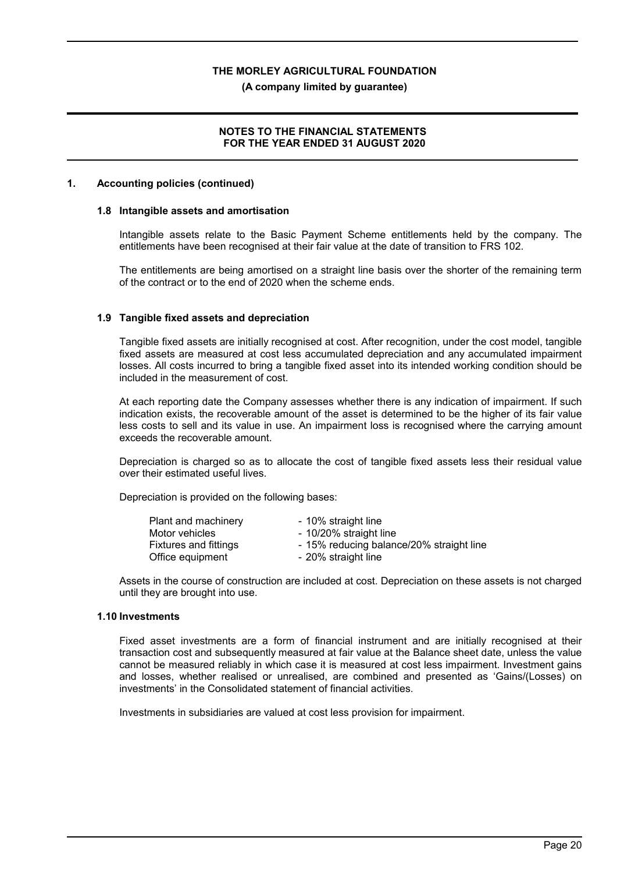#### **(A company limited by guarantee)**

## **NOTES TO THE FINANCIAL STATEMENTS FOR THE YEAR ENDED 31 AUGUST 2020**

#### **1. Accounting policies (continued)**

#### **1.8 Intangible assets and amortisation**

Intangible assets relate to the Basic Payment Scheme entitlements held by the company. The entitlements have been recognised at their fair value at the date of transition to FRS 102.

The entitlements are being amortised on a straight line basis over the shorter of the remaining term of the contract or to the end of 2020 when the scheme ends.

#### **1.9 Tangible fixed assets and depreciation**

Tangible fixed assets are initially recognised at cost. After recognition, under the cost model, tangible fixed assets are measured at cost less accumulated depreciation and any accumulated impairment losses. All costs incurred to bring a tangible fixed asset into its intended working condition should be included in the measurement of cost.

At each reporting date the Company assesses whether there is any indication of impairment. If such indication exists, the recoverable amount of the asset is determined to be the higher of its fair value less costs to sell and its value in use. An impairment loss is recognised where the carrying amount exceeds the recoverable amount.

Depreciation is charged so as to allocate the cost of tangible fixed assets less their residual value over their estimated useful lives.

Depreciation is provided on the following bases:

| Plant and machinery          | - 10% straight line                      |
|------------------------------|------------------------------------------|
| Motor vehicles               | - 10/20% straight line                   |
| <b>Fixtures and fittings</b> | - 15% reducing balance/20% straight line |
| Office equipment             | - 20% straight line                      |
|                              |                                          |

Assets in the course of construction are included at cost. Depreciation on these assets is not charged until they are brought into use.

#### **1.10 Investments**

Fixed asset investments are a form of financial instrument and are initially recognised at their transaction cost and subsequently measured at fair value at the Balance sheet date, unless the value cannot be measured reliably in which case it is measured at cost less impairment. Investment gains and losses, whether realised or unrealised, are combined and presented as 'Gains/(Losses) on investments' in the Consolidated statement of financial activities.

Investments in subsidiaries are valued at cost less provision for impairment.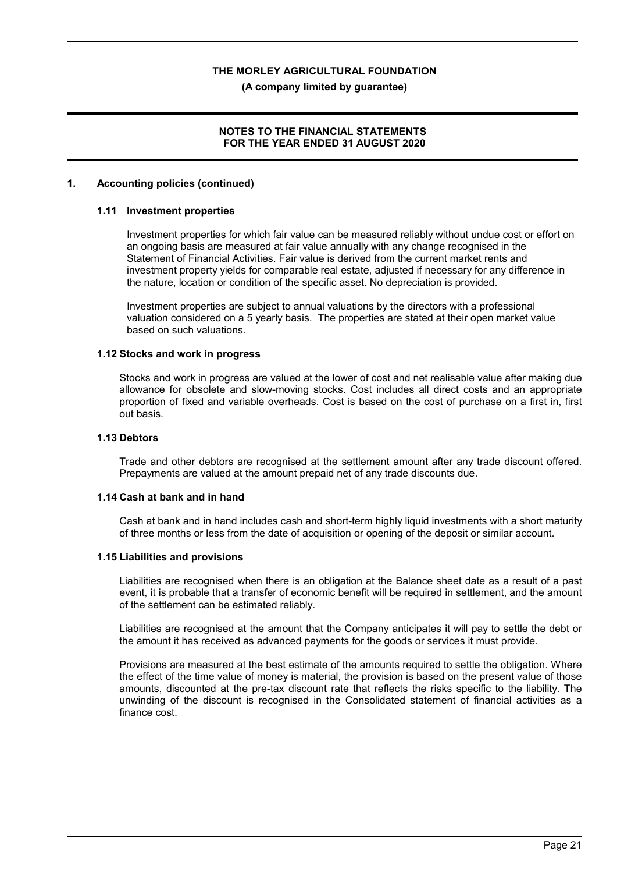**(A company limited by guarantee)**

# **NOTES TO THE FINANCIAL STATEMENTS FOR THE YEAR ENDED 31 AUGUST 2020**

#### **1. Accounting policies (continued)**

#### **1.11 Investment properties**

Investment properties for which fair value can be measured reliably without undue cost or effort on an ongoing basis are measured at fair value annually with any change recognised in the Statement of Financial Activities. Fair value is derived from the current market rents and investment property yields for comparable real estate, adjusted if necessary for any difference in the nature, location or condition of the specific asset. No depreciation is provided.

Investment properties are subject to annual valuations by the directors with a professional valuation considered on a 5 yearly basis. The properties are stated at their open market value based on such valuations.

#### **1.12 Stocks and work in progress**

Stocks and work in progress are valued at the lower of cost and net realisable value after making due allowance for obsolete and slow-moving stocks. Cost includes all direct costs and an appropriate proportion of fixed and variable overheads. Cost is based on the cost of purchase on a first in, first out basis.

#### **1.13 Debtors**

Trade and other debtors are recognised at the settlement amount after any trade discount offered. Prepayments are valued at the amount prepaid net of any trade discounts due.

#### **1.14 Cash at bank and in hand**

Cash at bank and in hand includes cash and short-term highly liquid investments with a short maturity of three months or less from the date of acquisition or opening of the deposit or similar account.

#### **1.15 Liabilities and provisions**

Liabilities are recognised when there is an obligation at the Balance sheet date as a result of a past event, it is probable that a transfer of economic benefit will be required in settlement, and the amount of the settlement can be estimated reliably.

Liabilities are recognised at the amount that the Company anticipates it will pay to settle the debt or the amount it has received as advanced payments for the goods or services it must provide.

Provisions are measured at the best estimate of the amounts required to settle the obligation. Where the effect of the time value of money is material, the provision is based on the present value of those amounts, discounted at the pre-tax discount rate that reflects the risks specific to the liability. The unwinding of the discount is recognised in the Consolidated statement of financial activities as a finance cost.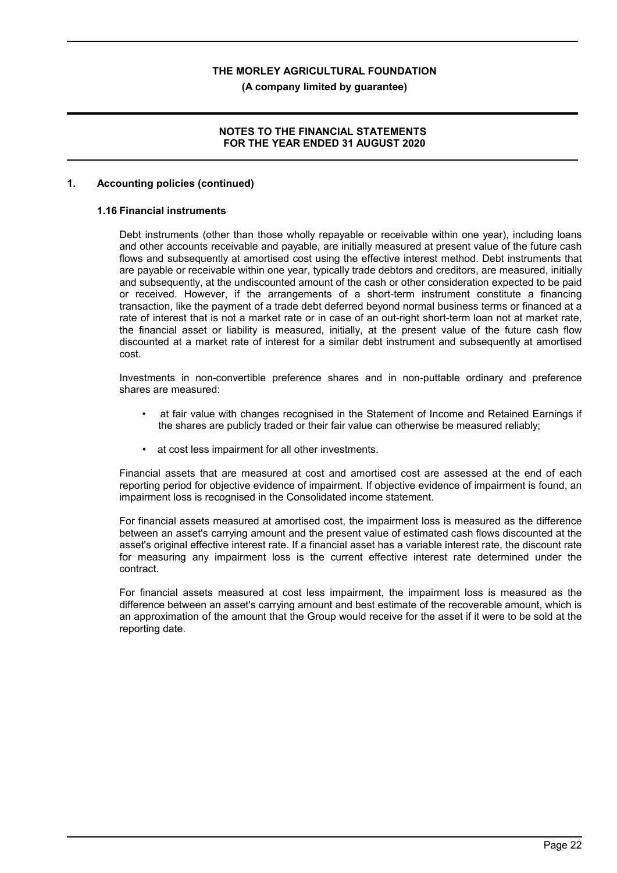**(A company limited by guarantee)**

## **NOTES TO THE FINANCIAL STATEMENTS FOR THE YEAR ENDED 31 AUGUST 2020**

#### **1. Accounting policies (continued)**

# **1.16 Financial instruments**

Debt instruments (other than those wholly repayable or receivable within one year), including loans and other accounts receivable and payable, are initially measured at present value of the future cash flows and subsequently at amortised cost using the effective interest method. Debt instruments that are payable or receivable within one year, typically trade debtors and creditors, are measured, initially and subsequently, at the undiscounted amount of the cash or other consideration expected to be paid or received. However, if the arrangements of a short-term instrument constitute a financing transaction, like the payment of a trade debt deferred beyond normal business terms or financed at a rate of interest that is not a market rate or in case of an out-right short-term loan not at market rate, the financial asset or liability is measured, initially, at the present value of the future cash flow discounted at a market rate of interest for a similar debt instrument and subsequently at amortised cost.

Investments in non-convertible preference shares and in non-puttable ordinary and preference shares are measured:

- at fair value with changes recognised in the Statement of Income and Retained Earnings if the shares are publicly traded or their fair value can otherwise be measured reliably;
- at cost less impairment for all other investments.

Financial assets that are measured at cost and amortised cost are assessed at the end of each reporting period for objective evidence of impairment. If objective evidence of impairment is found, an impairment loss is recognised in the Consolidated income statement.

For financial assets measured at amortised cost, the impairment loss is measured as the difference between an asset's carrying amount and the present value of estimated cash flows discounted at the asset's original effective interest rate. If a financial asset has a variable interest rate, the discount rate for measuring any impairment loss is the current effective interest rate determined under the contract.

For financial assets measured at cost less impairment, the impairment loss is measured as the difference between an asset's carrying amount and best estimate of the recoverable amount, which is an approximation of the amount that the Group would receive for the asset if it were to be sold at the reporting date.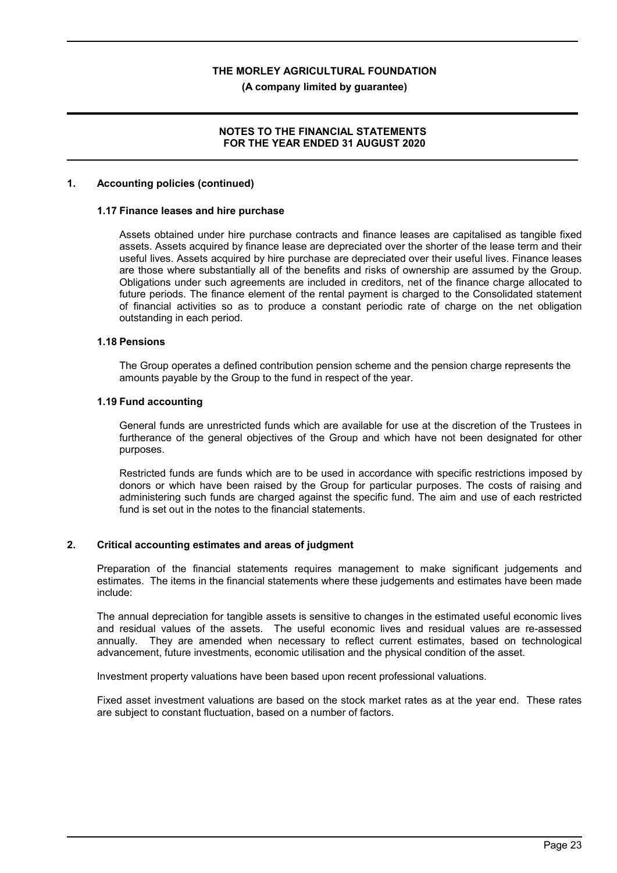**(A company limited by guarantee)**

## **NOTES TO THE FINANCIAL STATEMENTS FOR THE YEAR ENDED 31 AUGUST 2020**

#### **1. Accounting policies (continued)**

#### **1.17 Finance leases and hire purchase**

Assets obtained under hire purchase contracts and finance leases are capitalised as tangible fixed assets. Assets acquired by finance lease are depreciated over the shorter of the lease term and their useful lives. Assets acquired by hire purchase are depreciated over their useful lives. Finance leases are those where substantially all of the benefits and risks of ownership are assumed by the Group. Obligations under such agreements are included in creditors, net of the finance charge allocated to future periods. The finance element of the rental payment is charged to the Consolidated statement of financial activities so as to produce a constant periodic rate of charge on the net obligation outstanding in each period.

#### **1.18 Pensions**

The Group operates a defined contribution pension scheme and the pension charge represents the amounts payable by the Group to the fund in respect of the year.

#### **1.19 Fund accounting**

General funds are unrestricted funds which are available for use at the discretion of the Trustees in furtherance of the general objectives of the Group and which have not been designated for other purposes.

Restricted funds are funds which are to be used in accordance with specific restrictions imposed by donors or which have been raised by the Group for particular purposes. The costs of raising and administering such funds are charged against the specific fund. The aim and use of each restricted fund is set out in the notes to the financial statements.

## **2. Critical accounting estimates and areas of judgment**

Preparation of the financial statements requires management to make significant judgements and estimates. The items in the financial statements where these judgements and estimates have been made include:

The annual depreciation for tangible assets is sensitive to changes in the estimated useful economic lives and residual values of the assets. The useful economic lives and residual values are re-assessed annually. They are amended when necessary to reflect current estimates, based on technological advancement, future investments, economic utilisation and the physical condition of the asset.

Investment property valuations have been based upon recent professional valuations.

Fixed asset investment valuations are based on the stock market rates as at the year end. These rates are subject to constant fluctuation, based on a number of factors.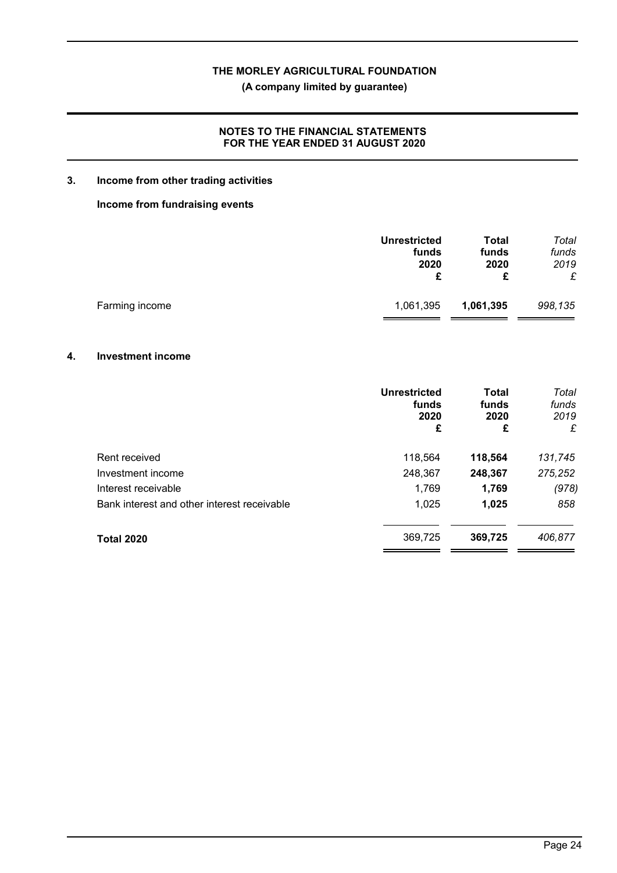**(A company limited by guarantee)**

# **NOTES TO THE FINANCIAL STATEMENTS FOR THE YEAR ENDED 31 AUGUST 2020**

# **3. Income from other trading activities**

## **Income from fundraising events**

|                | <b>Unrestricted</b><br>funds<br>2020 | Total<br>funds<br>2020<br>£ | Total<br>funds<br>2019<br>£ |
|----------------|--------------------------------------|-----------------------------|-----------------------------|
| Farming income | 1,061,395                            | 1,061,395                   | 998,135                     |

#### **4. Investment income**

|                                             | <b>Unrestricted</b><br>funds<br>2020<br>£ | <b>Total</b><br>funds<br>2020<br>£ | Total<br>funds<br>2019<br>£ |
|---------------------------------------------|-------------------------------------------|------------------------------------|-----------------------------|
| Rent received                               | 118,564                                   | 118,564                            | 131,745                     |
| Investment income                           | 248,367                                   | 248,367                            | 275,252                     |
| Interest receivable                         | 1,769                                     | 1,769                              | (978)                       |
| Bank interest and other interest receivable | 1,025                                     | 1,025                              | 858                         |
| <b>Total 2020</b>                           | 369,725                                   | 369,725                            | 406,877                     |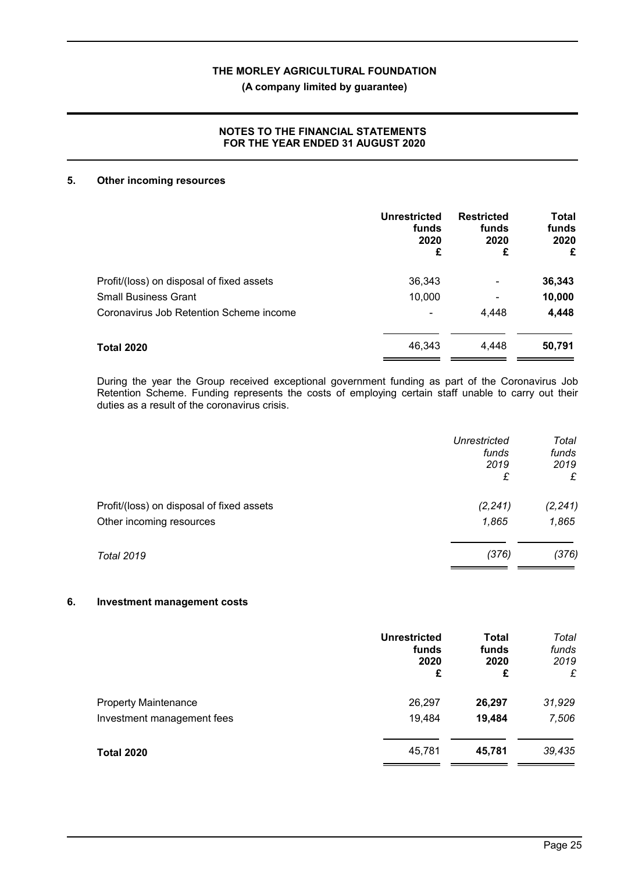# **(A company limited by guarantee)**

# **NOTES TO THE FINANCIAL STATEMENTS FOR THE YEAR ENDED 31 AUGUST 2020**

#### **5. Other incoming resources**

|                                           | <b>Unrestricted</b><br>funds<br>2020<br>£ | <b>Restricted</b><br>funds<br>2020<br>£ | <b>Total</b><br>funds<br>2020<br>£ |
|-------------------------------------------|-------------------------------------------|-----------------------------------------|------------------------------------|
| Profit/(loss) on disposal of fixed assets | 36,343                                    | ۰                                       | 36,343                             |
| <b>Small Business Grant</b>               | 10,000                                    | ۰                                       | 10,000                             |
| Coronavirus Job Retention Scheme income   |                                           | 4.448                                   | 4,448                              |
| Total 2020                                | 46,343                                    | 4.448                                   | 50,791                             |

During the year the Group received exceptional government funding as part of the Coronavirus Job Retention Scheme. Funding represents the costs of employing certain staff unable to carry out their duties as a result of the coronavirus crisis.

|                                           | <b>Unrestricted</b><br>funds<br>2019 | Total<br>funds<br>2019 |
|-------------------------------------------|--------------------------------------|------------------------|
|                                           | £                                    | £                      |
| Profit/(loss) on disposal of fixed assets | (2, 241)                             | (2, 241)               |
| Other incoming resources                  | 1,865                                | 1,865                  |
| <b>Total 2019</b>                         | (376)                                | (376)                  |

#### **6. Investment management costs**

|                             | <b>Unrestricted</b><br>funds<br>2020<br>£ | <b>Total</b><br>funds<br>2020<br>£ | Total<br>funds<br>2019<br>£ |
|-----------------------------|-------------------------------------------|------------------------------------|-----------------------------|
| <b>Property Maintenance</b> | 26,297                                    | 26,297                             | 31,929                      |
| Investment management fees  | 19,484                                    | 19,484                             | 7,506                       |
| <b>Total 2020</b>           | 45,781                                    | 45,781                             | 39,435                      |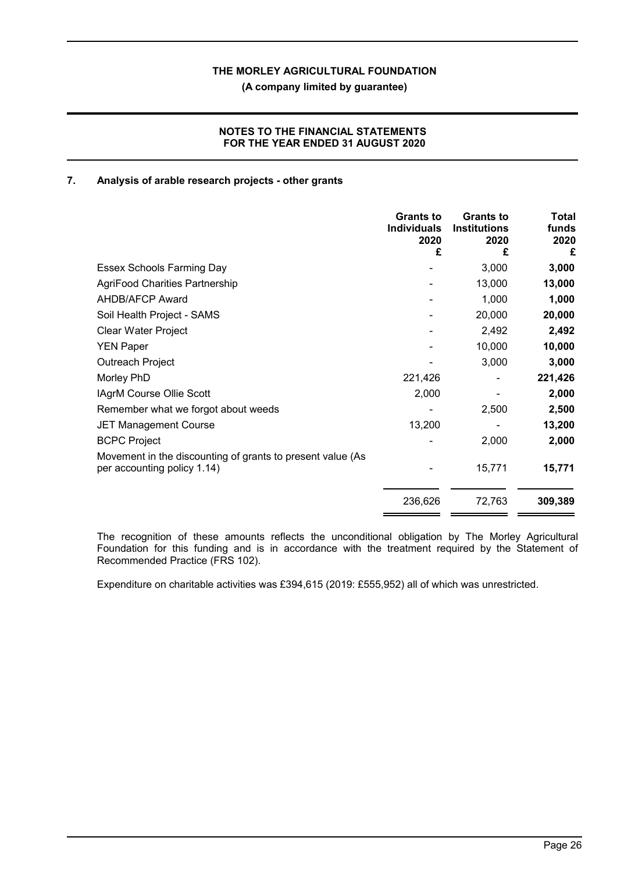**(A company limited by guarantee)**

# **NOTES TO THE FINANCIAL STATEMENTS FOR THE YEAR ENDED 31 AUGUST 2020**

## **7. Analysis of arable research projects - other grants**

|                                                                                           | <b>Grants to</b><br><b>Individuals</b><br>2020<br>£ | <b>Grants to</b><br><b>Institutions</b><br>2020<br>£ | Total<br>funds<br>2020<br>£ |
|-------------------------------------------------------------------------------------------|-----------------------------------------------------|------------------------------------------------------|-----------------------------|
| Essex Schools Farming Day                                                                 |                                                     | 3,000                                                | 3,000                       |
| <b>AgriFood Charities Partnership</b>                                                     |                                                     | 13,000                                               | 13,000                      |
| <b>AHDB/AFCP Award</b>                                                                    |                                                     | 1,000                                                | 1,000                       |
| Soil Health Project - SAMS                                                                |                                                     | 20,000                                               | 20,000                      |
| Clear Water Project                                                                       |                                                     | 2,492                                                | 2,492                       |
| <b>YEN Paper</b>                                                                          |                                                     | 10,000                                               | 10,000                      |
| Outreach Project                                                                          |                                                     | 3,000                                                | 3,000                       |
| Morley PhD                                                                                | 221,426                                             |                                                      | 221,426                     |
| <b>IAgrM Course Ollie Scott</b>                                                           | 2,000                                               |                                                      | 2,000                       |
| Remember what we forgot about weeds                                                       |                                                     | 2,500                                                | 2,500                       |
| <b>JET Management Course</b>                                                              | 13,200                                              |                                                      | 13,200                      |
| <b>BCPC Project</b>                                                                       |                                                     | 2,000                                                | 2,000                       |
| Movement in the discounting of grants to present value (As<br>per accounting policy 1.14) |                                                     | 15,771                                               | 15,771                      |
|                                                                                           | 236,626                                             | 72,763                                               | 309,389                     |

The recognition of these amounts reflects the unconditional obligation by The Morley Agricultural Foundation for this funding and is in accordance with the treatment required by the Statement of Recommended Practice (FRS 102).

Expenditure on charitable activities was £394,615 (2019: £555,952) all of which was unrestricted.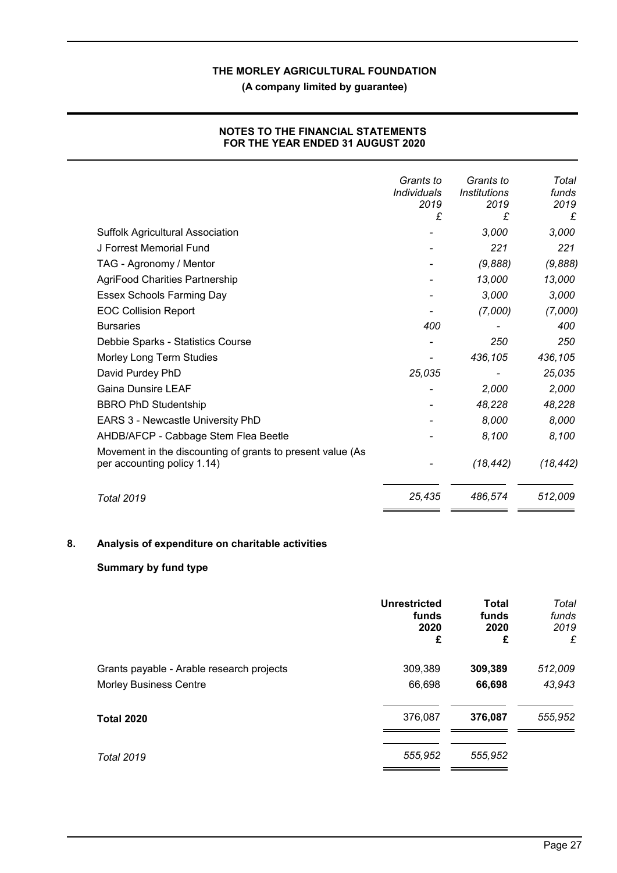**(A company limited by guarantee)**

|                                                                                           | Grants to<br><b>Individuals</b><br>2019 | Grants to<br><i><b>Institutions</b></i><br>2019 | Total<br>funds<br>2019 |
|-------------------------------------------------------------------------------------------|-----------------------------------------|-------------------------------------------------|------------------------|
|                                                                                           | £                                       | £                                               | £                      |
| <b>Suffolk Agricultural Association</b>                                                   |                                         | 3,000                                           | 3,000                  |
| J Forrest Memorial Fund                                                                   |                                         | 221                                             | 221                    |
| TAG - Agronomy / Mentor                                                                   |                                         | (9,888)                                         | (9,888)                |
| <b>AgriFood Charities Partnership</b>                                                     |                                         | 13,000                                          | 13,000                 |
| Essex Schools Farming Day                                                                 |                                         | 3,000                                           | 3,000                  |
| <b>EOC Collision Report</b>                                                               |                                         | (7,000)                                         | (7,000)                |
| <b>Bursaries</b>                                                                          | 400                                     |                                                 | 400                    |
| Debbie Sparks - Statistics Course                                                         |                                         | 250                                             | 250                    |
| Morley Long Term Studies                                                                  |                                         | 436,105                                         | 436,105                |
| David Purdey PhD                                                                          | 25,035                                  |                                                 | 25,035                 |
| <b>Gaina Dunsire LEAF</b>                                                                 |                                         | 2,000                                           | 2,000                  |
| <b>BBRO PhD Studentship</b>                                                               |                                         | 48,228                                          | 48,228                 |
| EARS 3 - Newcastle University PhD                                                         |                                         | 8,000                                           | 8,000                  |
| AHDB/AFCP - Cabbage Stem Flea Beetle                                                      |                                         | 8,100                                           | 8,100                  |
| Movement in the discounting of grants to present value (As<br>per accounting policy 1.14) |                                         | (18, 442)                                       | (18, 442)              |
| Total 2019                                                                                | 25,435                                  | 486,574                                         | 512,009                |

# **NOTES TO THE FINANCIAL STATEMENTS FOR THE YEAR ENDED 31 AUGUST 2020**

# **8. Analysis of expenditure on charitable activities**

# **Summary by fund type**

|                                           | <b>Unrestricted</b><br>funds<br>2020<br>£ | <b>Total</b><br>funds<br>2020<br>£ | Total<br>funds<br>2019<br>£ |
|-------------------------------------------|-------------------------------------------|------------------------------------|-----------------------------|
| Grants payable - Arable research projects | 309,389                                   | 309,389                            | 512,009                     |
| <b>Morley Business Centre</b>             | 66,698                                    | 66,698                             | 43,943                      |
| <b>Total 2020</b>                         | 376,087                                   | 376,087                            | 555,952                     |
| <b>Total 2019</b>                         | 555,952                                   | 555,952                            |                             |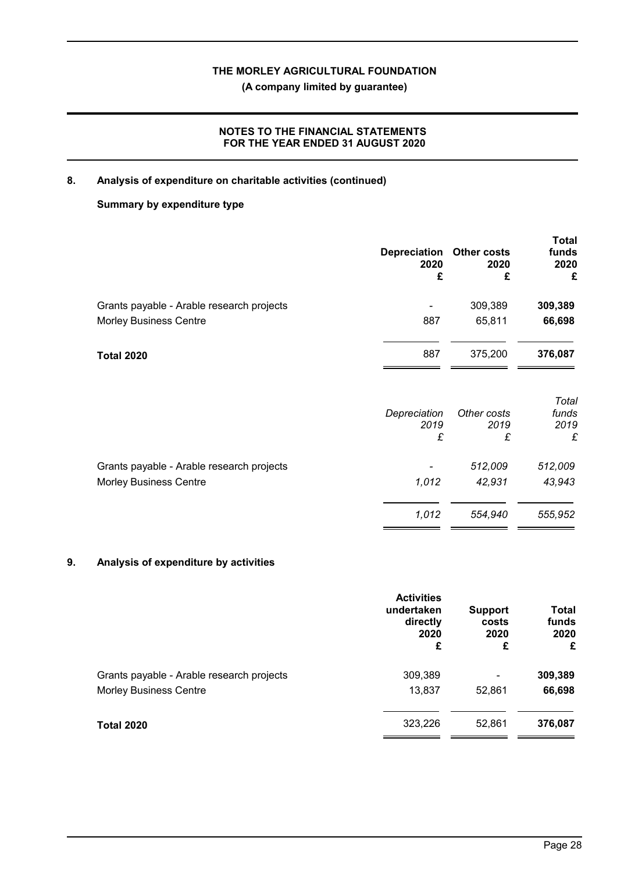**(A company limited by guarantee)**

# **NOTES TO THE FINANCIAL STATEMENTS FOR THE YEAR ENDED 31 AUGUST 2020**

# **8. Analysis of expenditure on charitable activities (continued)**

# **Summary by expenditure type**

|                                           | <b>Depreciation</b><br>2020<br>£ | <b>Other costs</b><br>2020<br>£ | <b>Total</b><br>funds<br>2020<br>£ |
|-------------------------------------------|----------------------------------|---------------------------------|------------------------------------|
| Grants payable - Arable research projects |                                  | 309,389                         | 309,389                            |
| <b>Morley Business Centre</b>             | 887                              | 65,811                          | 66,698                             |
| <b>Total 2020</b>                         | 887                              | 375,200                         | 376,087                            |
|                                           | Depreciation<br>2019<br>£        | Other costs<br>2019<br>£        | Total<br>funds<br>2019<br>£        |
| Grants payable - Arable research projects |                                  | 512,009                         | 512,009                            |
| <b>Morley Business Centre</b>             | 1,012                            | 42,931                          | 43,943                             |
|                                           | 1,012                            | 554,940                         | 555,952                            |

# **9. Analysis of expenditure by activities**

|                                           | <b>Activities</b><br>undertaken<br>directly<br>2020<br>£ | <b>Support</b><br>costs<br>2020<br>£ | <b>Total</b><br>funds<br>2020<br>£ |
|-------------------------------------------|----------------------------------------------------------|--------------------------------------|------------------------------------|
| Grants payable - Arable research projects | 309,389                                                  | $\overline{\phantom{a}}$             | 309,389                            |
| <b>Morley Business Centre</b>             | 13,837                                                   | 52,861                               | 66,698                             |
| <b>Total 2020</b>                         | 323,226                                                  | 52,861                               | 376,087                            |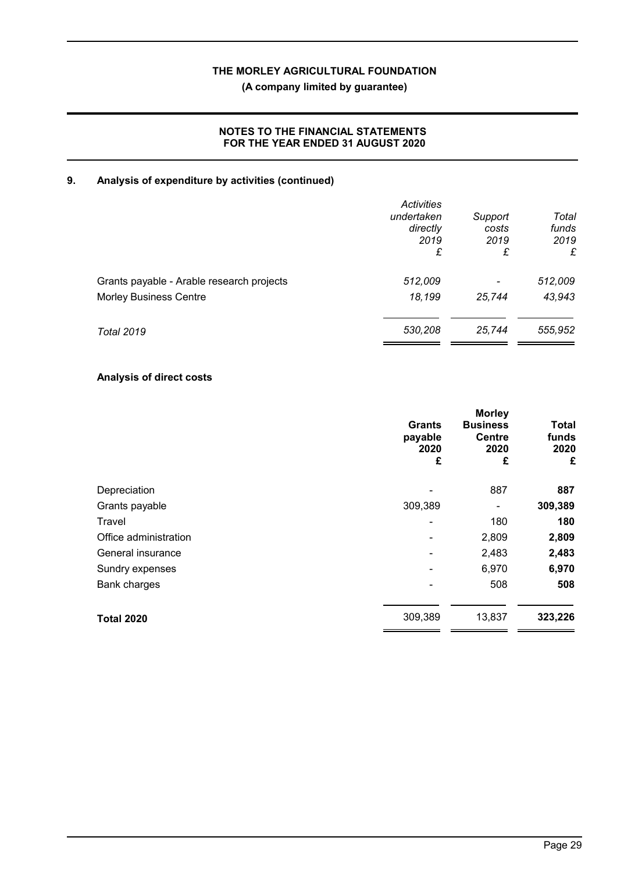**(A company limited by guarantee)**

# **NOTES TO THE FINANCIAL STATEMENTS FOR THE YEAR ENDED 31 AUGUST 2020**

# **9. Analysis of expenditure by activities (continued)**

|                                           | Activities<br>undertaken<br>directly<br>2019<br>£ | Support<br>costs<br>2019<br>£ | Total<br>funds<br>2019<br>£ |
|-------------------------------------------|---------------------------------------------------|-------------------------------|-----------------------------|
| Grants payable - Arable research projects | 512,009                                           | $\overline{\phantom{a}}$      | 512,009                     |
| <b>Morley Business Centre</b>             | 18,199                                            | 25,744                        | 43,943                      |
| <b>Total 2019</b>                         | 530,208                                           | 25,744                        | 555,952                     |

# **Analysis of direct costs**

|                       | <b>Grants</b><br>payable<br>2020<br>£ | <b>Morley</b><br><b>Business</b><br><b>Centre</b><br>2020<br>£ | <b>Total</b><br>funds<br>2020<br>£ |
|-----------------------|---------------------------------------|----------------------------------------------------------------|------------------------------------|
| Depreciation          |                                       | 887                                                            | 887                                |
| Grants payable        | 309,389                               |                                                                | 309,389                            |
| Travel                | ٠                                     | 180                                                            | 180                                |
| Office administration |                                       | 2,809                                                          | 2,809                              |
| General insurance     |                                       | 2,483                                                          | 2,483                              |
| Sundry expenses       |                                       | 6,970                                                          | 6,970                              |
| Bank charges          |                                       | 508                                                            | 508                                |
| <b>Total 2020</b>     | 309,389                               | 13,837                                                         | 323,226                            |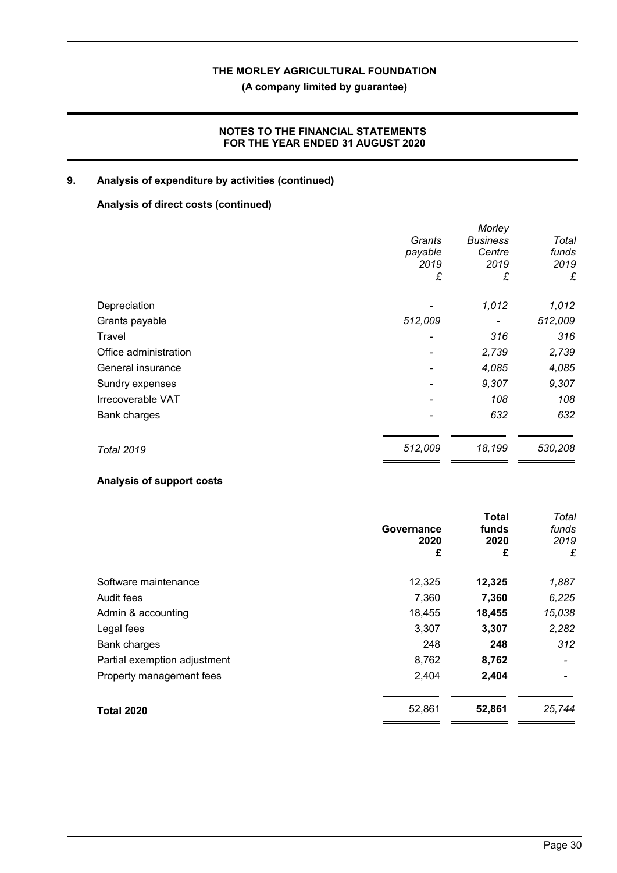**(A company limited by guarantee)**

# **NOTES TO THE FINANCIAL STATEMENTS FOR THE YEAR ENDED 31 AUGUST 2020**

# **9. Analysis of expenditure by activities (continued)**

# **Analysis of direct costs (continued)**

|                       | Grants<br>payable<br>2019<br>£ | Morley<br><b>Business</b><br>Centre<br>2019<br>£ | Total<br>funds<br>2019<br>£ |
|-----------------------|--------------------------------|--------------------------------------------------|-----------------------------|
| Depreciation          |                                | 1,012                                            | 1,012                       |
| Grants payable        | 512,009                        |                                                  | 512,009                     |
| Travel                |                                | 316                                              | 316                         |
| Office administration |                                | 2,739                                            | 2,739                       |
| General insurance     |                                | 4,085                                            | 4,085                       |
| Sundry expenses       |                                | 9,307                                            | 9,307                       |
| Irrecoverable VAT     |                                | 108                                              | 108                         |
| <b>Bank charges</b>   |                                | 632                                              | 632                         |
| <b>Total 2019</b>     | 512,009                        | 18,199                                           | 530,208                     |

## **Analysis of support costs**

|                              | Governance<br>2020<br>£ | <b>Total</b><br>funds<br>2020<br>£ | Total<br>funds<br>2019<br>£ |
|------------------------------|-------------------------|------------------------------------|-----------------------------|
| Software maintenance         | 12,325                  | 12,325                             | 1,887                       |
| Audit fees                   | 7,360                   | 7,360                              | 6,225                       |
| Admin & accounting           | 18,455                  | 18,455                             | 15,038                      |
| Legal fees                   | 3,307                   | 3,307                              | 2,282                       |
| Bank charges                 | 248                     | 248                                | 312                         |
| Partial exemption adjustment | 8,762                   | 8,762                              |                             |
| Property management fees     | 2,404                   | 2,404                              |                             |
| <b>Total 2020</b>            | 52,861                  | 52,861                             | 25,744                      |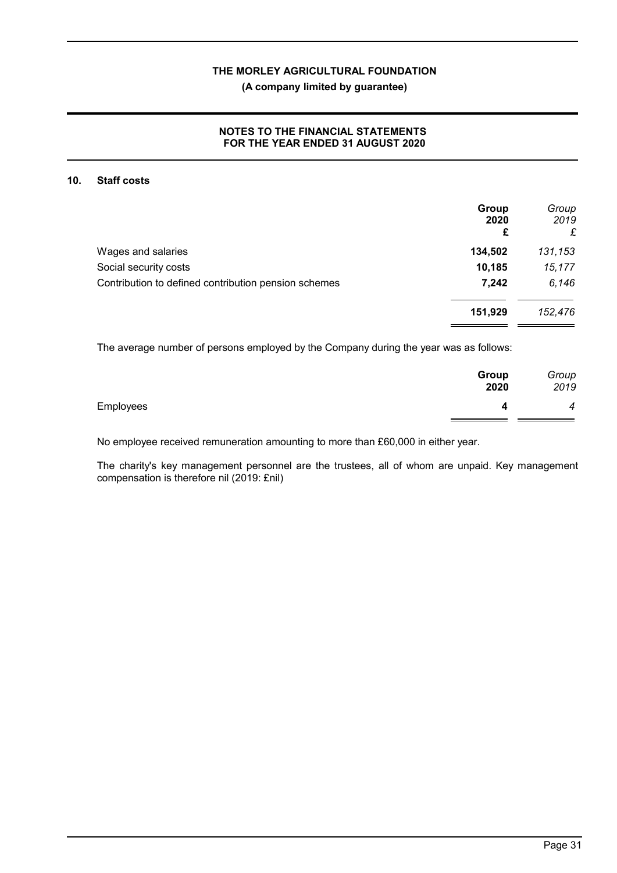## **(A company limited by guarantee)**

# **NOTES TO THE FINANCIAL STATEMENTS FOR THE YEAR ENDED 31 AUGUST 2020**

#### **10. Staff costs**

|                                                      | Group<br>2020<br>£ | Group<br>2019<br>£ |
|------------------------------------------------------|--------------------|--------------------|
| Wages and salaries                                   | 134,502            | 131,153            |
| Social security costs                                | 10,185             | 15,177             |
| Contribution to defined contribution pension schemes | 7,242              | 6,146              |
|                                                      | 151,929            | 152,476            |
|                                                      |                    |                    |

The average number of persons employed by the Company during the year was as follows:

|           | Group<br>2020 | Group<br>2019    |
|-----------|---------------|------------------|
| Employees |               | $\boldsymbol{4}$ |

No employee received remuneration amounting to more than £60,000 in either year.

The charity's key management personnel are the trustees, all of whom are unpaid. Key management compensation is therefore nil (2019: £nil)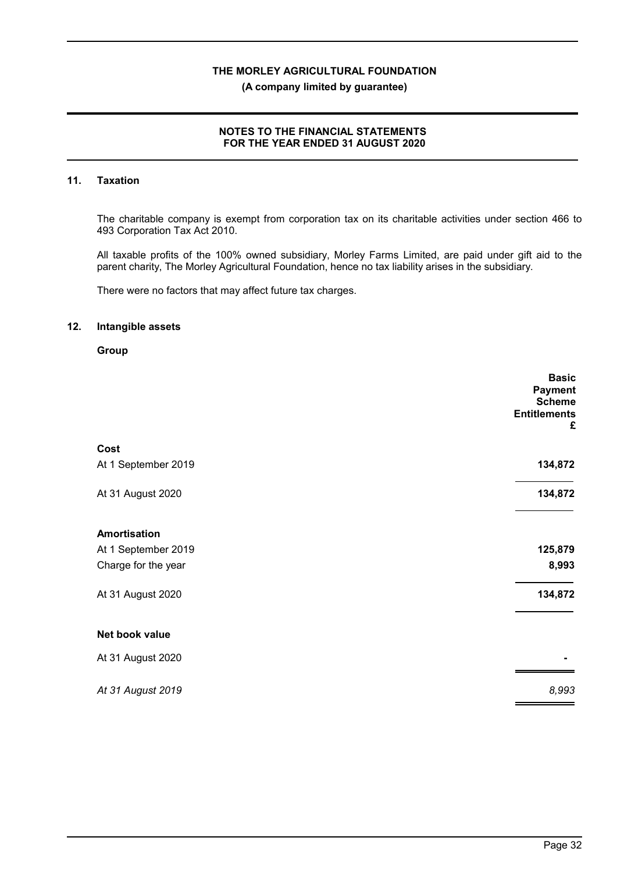#### **(A company limited by guarantee)**

# **NOTES TO THE FINANCIAL STATEMENTS FOR THE YEAR ENDED 31 AUGUST 2020**

# **11. Taxation**

The charitable company is exempt from corporation tax on its charitable activities under section 466 to 493 Corporation Tax Act 2010.

All taxable profits of the 100% owned subsidiary, Morley Farms Limited, are paid under gift aid to the parent charity, The Morley Agricultural Foundation, hence no tax liability arises in the subsidiary.

There were no factors that may affect future tax charges.

#### **12. Intangible assets**

## **Group**

|                     | <b>Basic</b><br><b>Payment</b> |
|---------------------|--------------------------------|
|                     | <b>Scheme</b>                  |
|                     | <b>Entitlements</b>            |
|                     | £                              |
|                     |                                |
| Cost                |                                |
| At 1 September 2019 | 134,872                        |
|                     |                                |
| At 31 August 2020   | 134,872                        |
|                     |                                |
| <b>Amortisation</b> |                                |
| At 1 September 2019 | 125,879                        |
| Charge for the year | 8,993                          |
|                     |                                |
| At 31 August 2020   | 134,872                        |
|                     |                                |
| Net book value      |                                |
|                     |                                |
| At 31 August 2020   |                                |
|                     |                                |
| At 31 August 2019   | 8,993                          |
|                     |                                |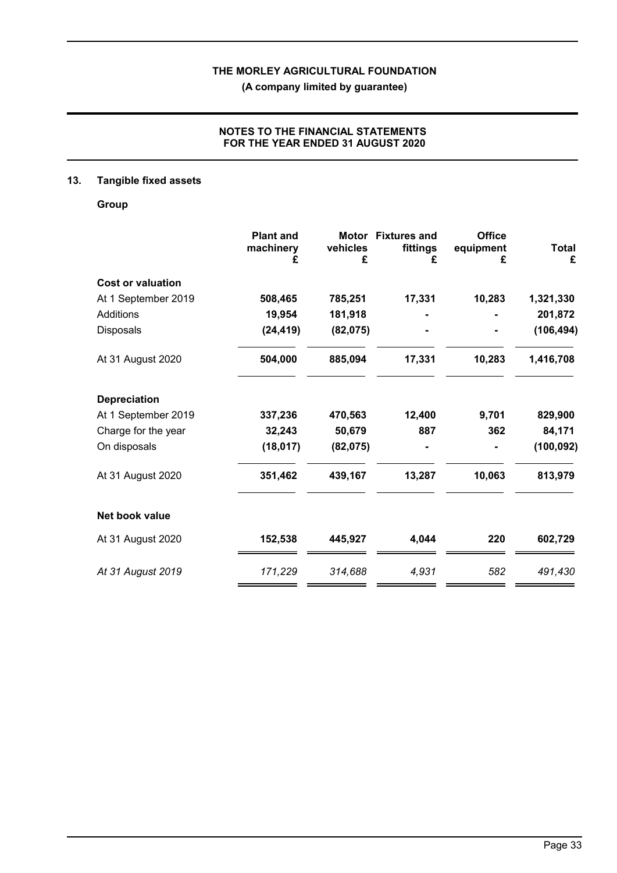**(A company limited by guarantee)**

# **NOTES TO THE FINANCIAL STATEMENTS FOR THE YEAR ENDED 31 AUGUST 2020**

# **13. Tangible fixed assets**

**Group**

|                          | <b>Plant and</b><br>machinery<br>£ | vehicles<br>£ | Motor Fixtures and<br>fittings<br>£ | <b>Office</b><br>equipment<br>£ | <b>Total</b><br>£ |
|--------------------------|------------------------------------|---------------|-------------------------------------|---------------------------------|-------------------|
| <b>Cost or valuation</b> |                                    |               |                                     |                                 |                   |
| At 1 September 2019      | 508,465                            | 785,251       | 17,331                              | 10,283                          | 1,321,330         |
| Additions                | 19,954                             | 181,918       |                                     |                                 | 201,872           |
| Disposals                | (24, 419)                          | (82,075)      |                                     |                                 | (106, 494)        |
| At 31 August 2020        | 504,000                            | 885,094       | 17,331                              | 10,283                          | 1,416,708         |
| <b>Depreciation</b>      |                                    |               |                                     |                                 |                   |
| At 1 September 2019      | 337,236                            | 470,563       | 12,400                              | 9,701                           | 829,900           |
| Charge for the year      | 32,243                             | 50,679        | 887                                 | 362                             | 84,171            |
| On disposals             | (18, 017)                          | (82,075)      |                                     |                                 | (100, 092)        |
| At 31 August 2020        | 351,462                            | 439,167       | 13,287                              | 10,063                          | 813,979           |
| Net book value           |                                    |               |                                     |                                 |                   |
| At 31 August 2020        | 152,538                            | 445,927       | 4,044                               | 220                             | 602,729           |
| At 31 August 2019        | 171,229                            | 314,688       | 4,931                               | 582                             | 491,430           |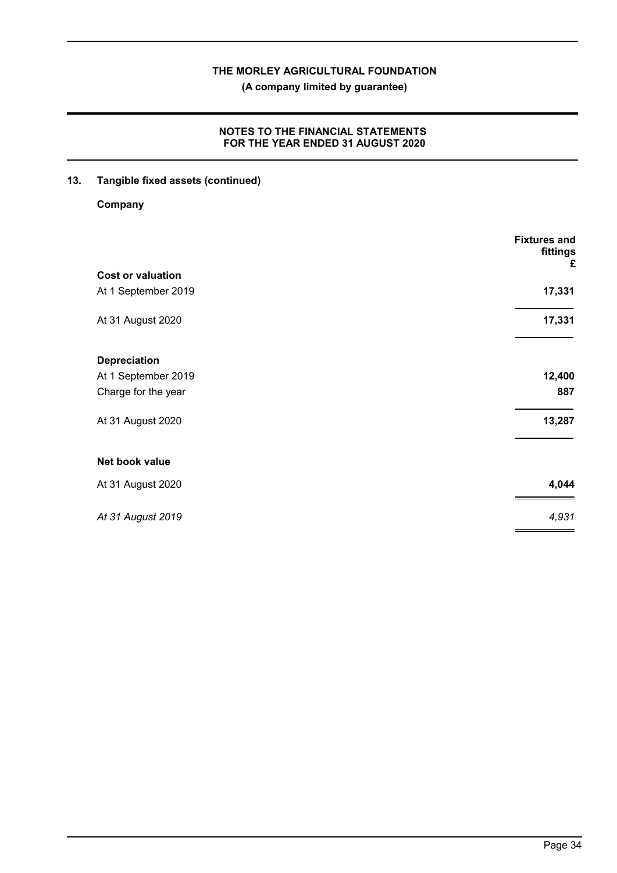**(A company limited by guarantee)**

# **NOTES TO THE FINANCIAL STATEMENTS FOR THE YEAR ENDED 31 AUGUST 2020**

**13. Tangible fixed assets (continued)**

**Company**

|                          | <b>Fixtures and</b><br>fittings<br>£ |
|--------------------------|--------------------------------------|
| <b>Cost or valuation</b> |                                      |
| At 1 September 2019      | 17,331                               |
| At 31 August 2020        | 17,331                               |
| <b>Depreciation</b>      |                                      |
| At 1 September 2019      | 12,400                               |
| Charge for the year      | 887                                  |
| At 31 August 2020        | 13,287                               |
| Net book value           |                                      |
| At 31 August 2020        | 4,044                                |
| At 31 August 2019        | 4,931                                |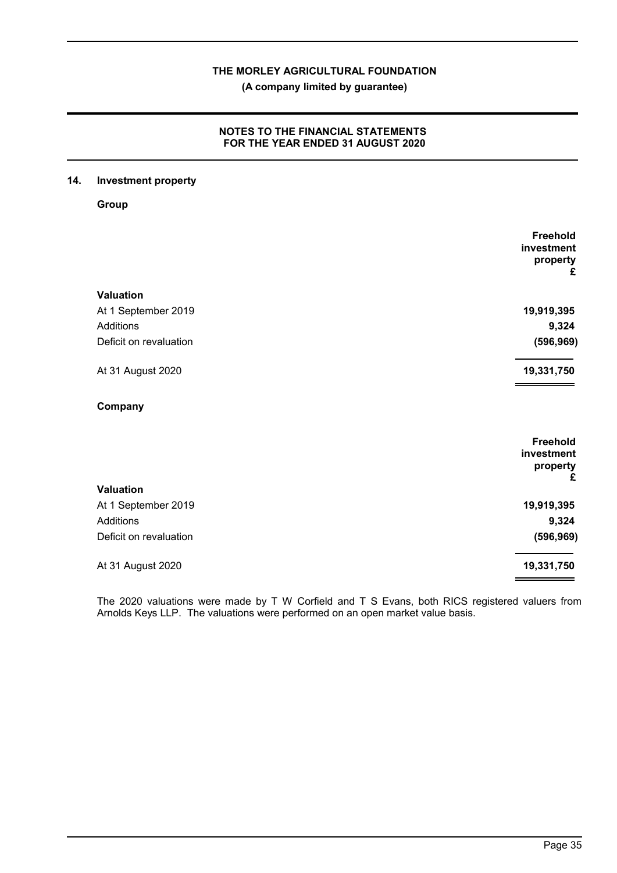**(A company limited by guarantee)**

# **NOTES TO THE FINANCIAL STATEMENTS FOR THE YEAR ENDED 31 AUGUST 2020**

## **14. Investment property**

**Group**

|                        | Freehold<br>investment<br>property<br>£ |
|------------------------|-----------------------------------------|
| Valuation              |                                         |
| At 1 September 2019    | 19,919,395                              |
| Additions              | 9,324                                   |
| Deficit on revaluation | (596, 969)                              |
| At 31 August 2020      | 19,331,750                              |
| Company                |                                         |
|                        | Freehold<br>investment<br>property      |
|                        | £                                       |
| Valuation              |                                         |
| At 1 September 2019    | 19,919,395                              |
| Additions              | 9,324                                   |
| Deficit on revaluation | (596, 969)                              |
| At 31 August 2020      | 19,331,750                              |

The 2020 valuations were made by T W Corfield and T S Evans, both RICS registered valuers from Arnolds Keys LLP. The valuations were performed on an open market value basis.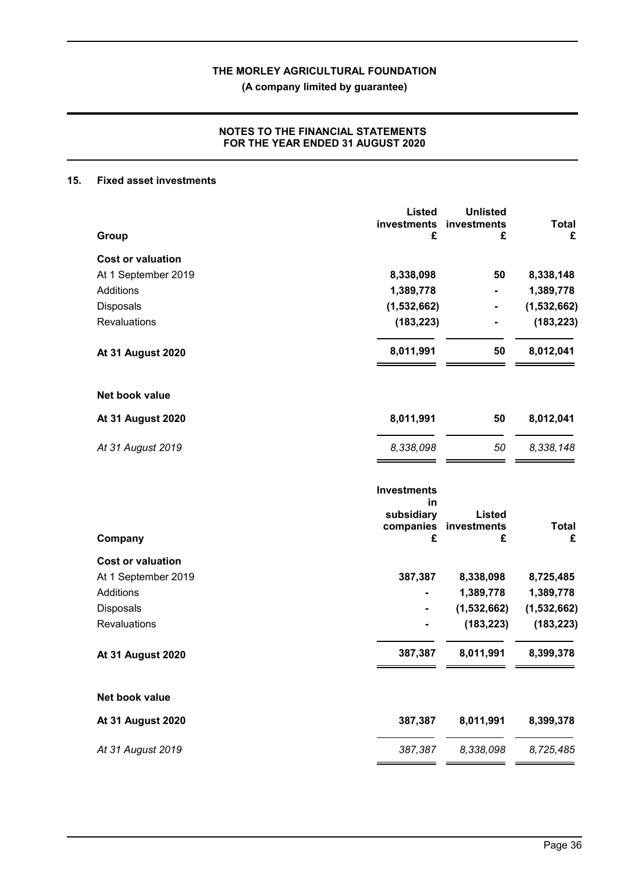**(A company limited by guarantee)**

# **NOTES TO THE FINANCIAL STATEMENTS FOR THE YEAR ENDED 31 AUGUST 2020**

#### **15. Fixed asset investments**

|                          | <b>Listed</b>                                       | <b>Unlisted</b>              |                   |
|--------------------------|-----------------------------------------------------|------------------------------|-------------------|
| Group                    | investments<br>£                                    | investments<br>£             | <b>Total</b><br>£ |
| <b>Cost or valuation</b> |                                                     |                              |                   |
| At 1 September 2019      | 8,338,098                                           | 50                           | 8,338,148         |
| Additions                | 1,389,778                                           |                              | 1,389,778         |
| Disposals                | (1,532,662)                                         |                              | (1,532,662)       |
| Revaluations             | (183, 223)                                          |                              | (183, 223)        |
| <b>At 31 August 2020</b> | 8,011,991                                           | 50                           | 8,012,041         |
| Net book value           |                                                     |                              |                   |
| <b>At 31 August 2020</b> | 8,011,991                                           | 50                           | 8,012,041         |
| At 31 August 2019        | 8,338,098                                           | 50                           | 8,338,148         |
|                          | <b>Investments</b><br>in<br>subsidiary<br>companies | <b>Listed</b><br>investments | <b>Total</b>      |
| Company                  | £                                                   | £                            | £                 |
| <b>Cost or valuation</b> |                                                     |                              |                   |
| At 1 September 2019      | 387,387                                             | 8,338,098                    | 8,725,485         |
| Additions                |                                                     | 1,389,778                    | 1,389,778         |
| Disposals                |                                                     | (1,532,662)                  | (1,532,662)       |
| Revaluations             |                                                     | (183, 223)                   | (183, 223)        |
| <b>At 31 August 2020</b> | 387,387                                             | 8,011,991                    | 8,399,378         |
| Net book value           |                                                     |                              |                   |
| <b>At 31 August 2020</b> | 387,387                                             | 8,011,991                    | 8,399,378         |
| At 31 August 2019        | 387,387                                             | 8,338,098                    | 8,725,485         |
|                          |                                                     |                              |                   |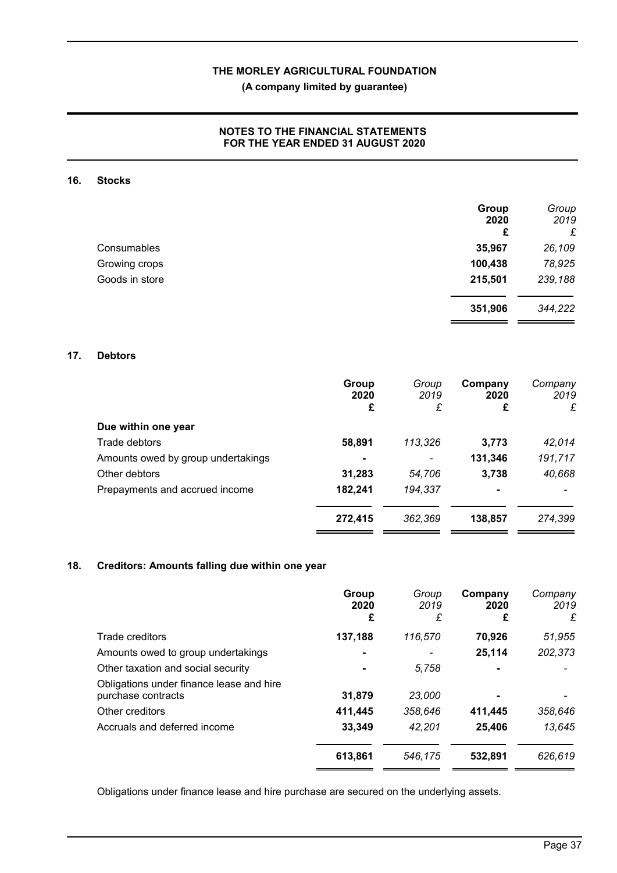**(A company limited by guarantee)**

# **NOTES TO THE FINANCIAL STATEMENTS FOR THE YEAR ENDED 31 AUGUST 2020**

#### **16. Stocks**

|                | Group<br>2020<br>£ | Group<br>2019<br>£ |
|----------------|--------------------|--------------------|
| Consumables    | 35,967             | 26,109             |
| Growing crops  | 100,438            | 78,925             |
| Goods in store | 215,501            | 239,188            |
|                | 351,906            | 344,222            |

#### **17. Debtors**

|                                    | Group<br>2020<br>£ | Group<br>2019<br>£ | Company<br>2020<br>£ | Company<br>2019<br>£ |
|------------------------------------|--------------------|--------------------|----------------------|----------------------|
| Due within one year                |                    |                    |                      |                      |
| Trade debtors                      | 58,891             | 113,326            | 3,773                | 42,014               |
| Amounts owed by group undertakings |                    |                    | 131,346              | 191,717              |
| Other debtors                      | 31,283             | 54,706             | 3,738                | 40,668               |
| Prepayments and accrued income     | 182,241            | 194,337            | $\blacksquare$       |                      |
|                                    | 272,415            | 362,369            | 138,857              | 274,399              |

# **18. Creditors: Amounts falling due within one year**

|                                                                | Group<br>2020<br>£ | Group<br>2019<br>£ | Company<br>2020<br>£ | Company<br>2019<br>£ |
|----------------------------------------------------------------|--------------------|--------------------|----------------------|----------------------|
| Trade creditors                                                | 137,188            | 116,570            | 70,926               | 51,955               |
| Amounts owed to group undertakings                             |                    |                    | 25,114               | 202,373              |
| Other taxation and social security                             |                    | 5.758              |                      |                      |
| Obligations under finance lease and hire<br>purchase contracts | 31,879             | 23,000             |                      |                      |
| Other creditors                                                | 411,445            | 358.646            | 411,445              | 358,646              |
| Accruals and deferred income                                   | 33,349             | 42.201             | 25,406               | 13,645               |
|                                                                | 613,861            | 546.175            | 532,891              | 626,619              |

Obligations under finance lease and hire purchase are secured on the underlying assets.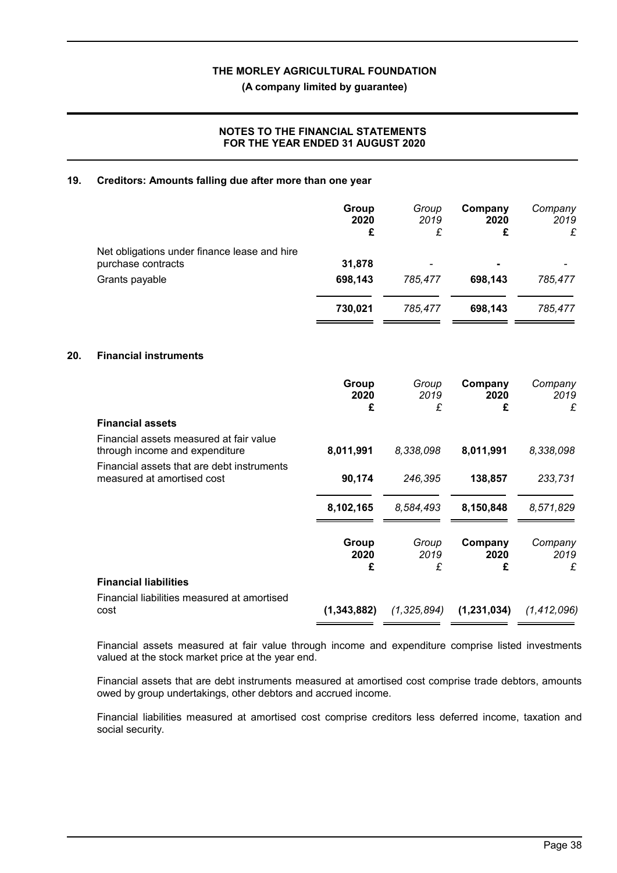**(A company limited by guarantee)**

# **NOTES TO THE FINANCIAL STATEMENTS FOR THE YEAR ENDED 31 AUGUST 2020**

#### **19. Creditors: Amounts falling due after more than one year**

|                                                                    | Group<br>2020<br>£ | Group<br>2019<br>£       | Company<br>2020 | Company<br>2019<br>£ |
|--------------------------------------------------------------------|--------------------|--------------------------|-----------------|----------------------|
| Net obligations under finance lease and hire<br>purchase contracts | 31,878             | $\overline{\phantom{0}}$ | ٠               |                      |
| Grants payable                                                     | 698,143            | 785,477                  | 698,143         | 785,477              |
|                                                                    | 730,021            | 785.477                  | 698,143         | 785,477              |

#### **20. Financial instruments**

|                                                                           | Group<br>2020<br>£ | Group<br>2019<br>£ | Company<br>2020<br>£ | Company<br>2019<br>£ |
|---------------------------------------------------------------------------|--------------------|--------------------|----------------------|----------------------|
| <b>Financial assets</b>                                                   |                    |                    |                      |                      |
| Financial assets measured at fair value<br>through income and expenditure | 8,011,991          | 8,338,098          | 8,011,991            | 8,338,098            |
| Financial assets that are debt instruments<br>measured at amortised cost  | 90,174             | 246,395            | 138,857              | 233,731              |
|                                                                           | 8,102,165          | 8,584,493          | 8,150,848            | 8,571,829            |
|                                                                           | Group<br>2020<br>£ | Group<br>2019<br>£ | Company<br>2020<br>£ | Company<br>2019<br>£ |
| <b>Financial liabilities</b>                                              |                    |                    |                      |                      |
| Financial liabilities measured at amortised<br>cost                       | (1,343,882)        | (1,325,894)        | (1,231,034)          | (1, 412, 096)        |

Financial assets measured at fair value through income and expenditure comprise listed investments valued at the stock market price at the year end.

Financial assets that are debt instruments measured at amortised cost comprise trade debtors, amounts owed by group undertakings, other debtors and accrued income.

Financial liabilities measured at amortised cost comprise creditors less deferred income, taxation and social security.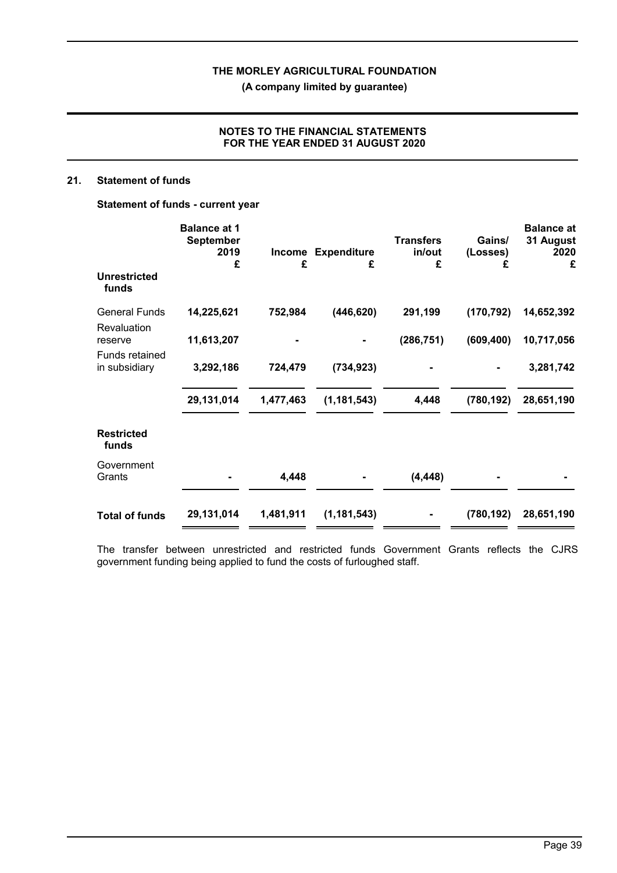**(A company limited by guarantee)**

# **NOTES TO THE FINANCIAL STATEMENTS FOR THE YEAR ENDED 31 AUGUST 2020**

#### **21. Statement of funds**

**Statement of funds - current year**

|                                 | <b>Balance at 1</b><br><b>September</b><br>2019<br>£ | Income<br>£ | <b>Expenditure</b><br>£ | <b>Transfers</b><br>in/out<br>£ | Gains/<br>(Losses)<br>£ | <b>Balance at</b><br>31 August<br>2020<br>£ |
|---------------------------------|------------------------------------------------------|-------------|-------------------------|---------------------------------|-------------------------|---------------------------------------------|
| <b>Unrestricted</b><br>funds    |                                                      |             |                         |                                 |                         |                                             |
| <b>General Funds</b>            | 14,225,621                                           | 752,984     | (446, 620)              | 291,199                         | (170, 792)              | 14,652,392                                  |
| Revaluation<br>reserve          | 11,613,207                                           |             |                         | (286, 751)                      | (609, 400)              | 10,717,056                                  |
| Funds retained<br>in subsidiary | 3,292,186                                            | 724,479     | (734, 923)              |                                 |                         | 3,281,742                                   |
|                                 | 29,131,014                                           | 1,477,463   | (1, 181, 543)           | 4,448                           | (780, 192)              | 28,651,190                                  |
| <b>Restricted</b><br>funds      |                                                      |             |                         |                                 |                         |                                             |
| Government<br>Grants            |                                                      | 4,448       |                         | (4, 448)                        |                         |                                             |
| <b>Total of funds</b>           | 29,131,014                                           | 1,481,911   | (1, 181, 543)           |                                 | (780, 192)              | 28,651,190                                  |

The transfer between unrestricted and restricted funds Government Grants reflects the CJRS government funding being applied to fund the costs of furloughed staff.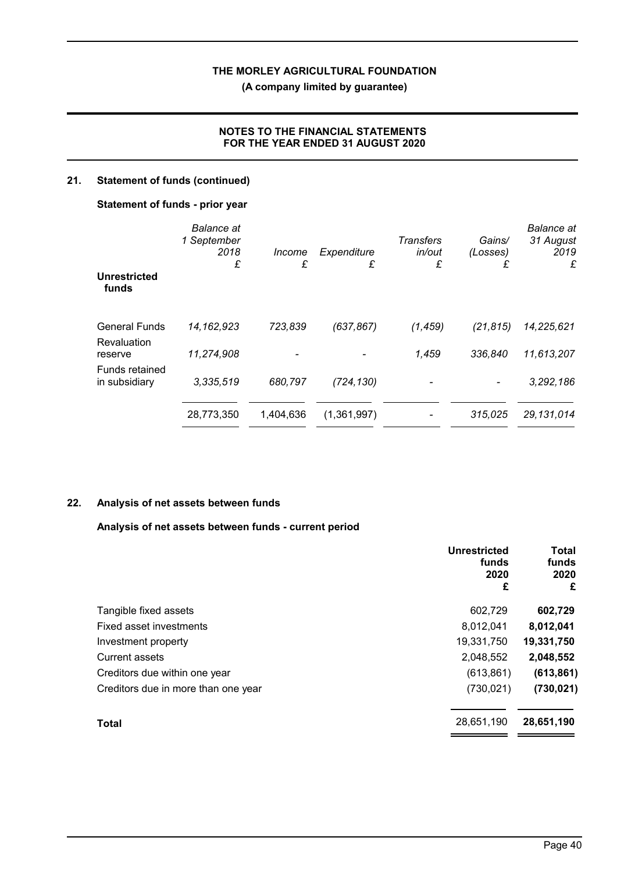**(A company limited by guarantee)**

# **NOTES TO THE FINANCIAL STATEMENTS FOR THE YEAR ENDED 31 AUGUST 2020**

# **21. Statement of funds (continued)**

#### **Statement of funds - prior year**

|                                     | <b>Balance</b> at<br>1 September<br>2018<br>£ | Income<br>£ | Expenditure<br>£ | <b>Transfers</b><br>in/out<br>£ | Gains/<br>(Losses)<br>£  | <b>Balance</b> at<br>31 August<br>2019<br>£ |  |
|-------------------------------------|-----------------------------------------------|-------------|------------------|---------------------------------|--------------------------|---------------------------------------------|--|
| <b>Unrestricted</b><br>funds        |                                               |             |                  |                                 |                          |                                             |  |
| <b>General Funds</b><br>Revaluation | 14, 162, 923                                  | 723,839     | (637, 867)       | (1, 459)                        | (21, 815)                | 14,225,621                                  |  |
| reserve                             | 11,274,908                                    |             |                  | 1,459                           | 336,840                  | 11,613,207                                  |  |
| Funds retained<br>in subsidiary     | 3,335,519                                     | 680,797     | (724, 130)       |                                 | $\overline{\phantom{a}}$ | 3,292,186                                   |  |
|                                     | 28,773,350                                    | 1,404,636   | (1,361,997)      |                                 | 315,025                  | 29,131,014                                  |  |

## **22. Analysis of net assets between funds**

## **Analysis of net assets between funds - current period**

|                                     | <b>Unrestricted</b><br>funds<br>2020<br>£ | <b>Total</b><br>funds<br>2020<br>£ |
|-------------------------------------|-------------------------------------------|------------------------------------|
| Tangible fixed assets               | 602,729                                   | 602,729                            |
| Fixed asset investments             | 8,012,041                                 | 8,012,041                          |
| Investment property                 | 19,331,750                                | 19,331,750                         |
| Current assets                      | 2,048,552                                 | 2,048,552                          |
| Creditors due within one year       | (613, 861)                                | (613, 861)                         |
| Creditors due in more than one year | (730, 021)                                | (730, 021)                         |
| <b>Total</b>                        | 28,651,190                                | 28,651,190                         |
|                                     |                                           |                                    |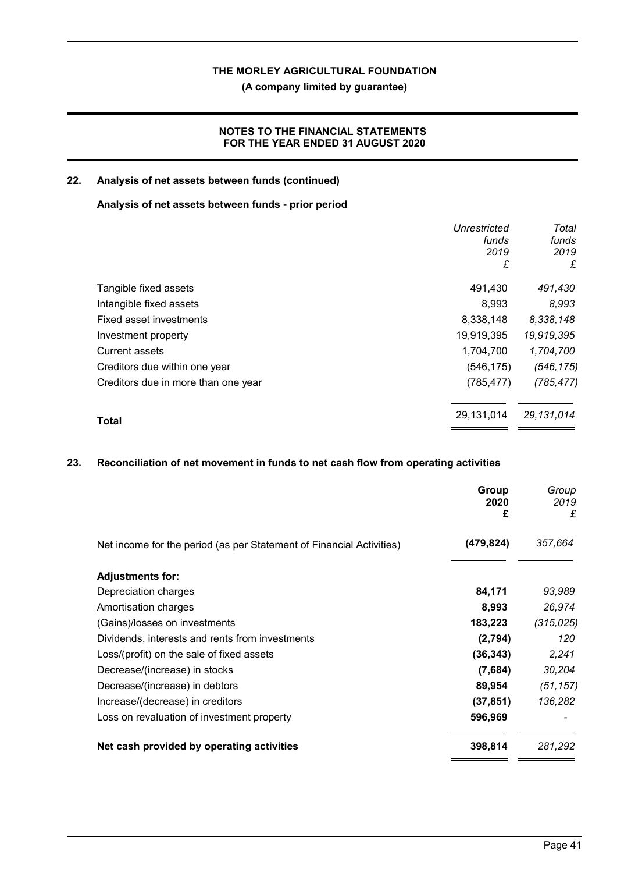**(A company limited by guarantee)**

# **NOTES TO THE FINANCIAL STATEMENTS FOR THE YEAR ENDED 31 AUGUST 2020**

## **22. Analysis of net assets between funds (continued)**

#### **Analysis of net assets between funds - prior period**

|                                     | Unrestricted | Total      |
|-------------------------------------|--------------|------------|
|                                     | funds        | funds      |
|                                     | 2019         | 2019       |
|                                     | £            | £          |
| Tangible fixed assets               | 491,430      | 491,430    |
| Intangible fixed assets             | 8,993        | 8,993      |
| Fixed asset investments             | 8,338,148    | 8,338,148  |
| Investment property                 | 19,919,395   | 19,919,395 |
| <b>Current assets</b>               | 1,704,700    | 1,704,700  |
| Creditors due within one year       | (546, 175)   | (546, 175) |
| Creditors due in more than one year | (785, 477)   | (785, 477) |
| <b>Total</b>                        | 29,131,014   | 29,131,014 |
|                                     |              |            |

# **23. Reconciliation of net movement in funds to net cash flow from operating activities**

|                                                                      | Group<br>2020<br>£ | Group<br>2019<br>£ |
|----------------------------------------------------------------------|--------------------|--------------------|
| Net income for the period (as per Statement of Financial Activities) | (479, 824)         | 357,664            |
| <b>Adjustments for:</b>                                              |                    |                    |
| Depreciation charges                                                 | 84,171             | 93,989             |
| Amortisation charges                                                 | 8,993              | 26,974             |
| (Gains)/losses on investments                                        | 183,223            | (315, 025)         |
| Dividends, interests and rents from investments                      | (2,794)            | 120                |
| Loss/(profit) on the sale of fixed assets                            | (36, 343)          | 2,241              |
| Decrease/(increase) in stocks                                        | (7,684)            | 30,204             |
| Decrease/(increase) in debtors                                       | 89,954             | (51, 157)          |
| Increase/(decrease) in creditors                                     | (37, 851)          | 136,282            |
| Loss on revaluation of investment property                           | 596,969            |                    |
| Net cash provided by operating activities                            | 398,814            | 281,292            |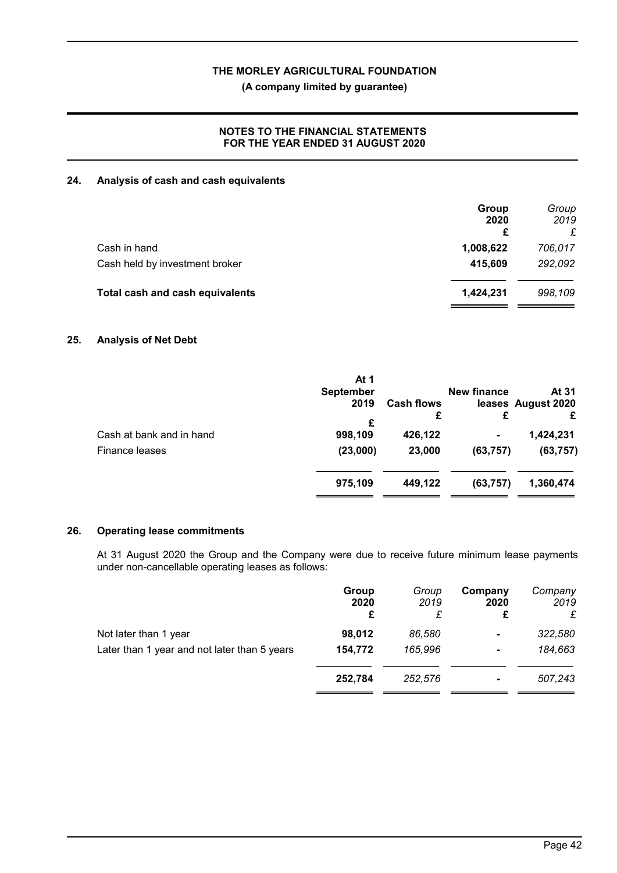**(A company limited by guarantee)**

# **NOTES TO THE FINANCIAL STATEMENTS FOR THE YEAR ENDED 31 AUGUST 2020**

## **24. Analysis of cash and cash equivalents**

|                                 | Group<br>2020<br>£ | Group<br>2019 |
|---------------------------------|--------------------|---------------|
| Cash in hand                    | 1,008,622          | 706,017       |
| Cash held by investment broker  | 415,609            | 292,092       |
| Total cash and cash equivalents | 1,424,231          | 998,109       |

## **25. Analysis of Net Debt**

|                                            | At 1<br><b>September</b><br>2019 | <b>Cash flows</b><br>£ | <b>New finance</b><br>£ | At 31<br>leases August 2020<br>£ |
|--------------------------------------------|----------------------------------|------------------------|-------------------------|----------------------------------|
| Cash at bank and in hand<br>Finance leases | £<br>998,109<br>(23,000)         | 426,122<br>23,000      | -<br>(63, 757)          | 1,424,231<br>(63, 757)           |
|                                            | 975,109                          | 449,122                | (63, 757)               | 1,360,474                        |

# **26. Operating lease commitments**

At 31 August 2020 the Group and the Company were due to receive future minimum lease payments under non-cancellable operating leases as follows:

|                                              | Group<br>2020<br>£ | Group<br>2019 | Company<br>2020<br>£ | Company<br>2019<br>£ |
|----------------------------------------------|--------------------|---------------|----------------------|----------------------|
| Not later than 1 year                        | 98,012             | 86.580        | $\blacksquare$       | 322,580              |
| Later than 1 year and not later than 5 years | 154,772            | 165,996       | $\blacksquare$       | 184,663              |
|                                              | 252,784            | 252,576       | $\blacksquare$       | 507,243              |